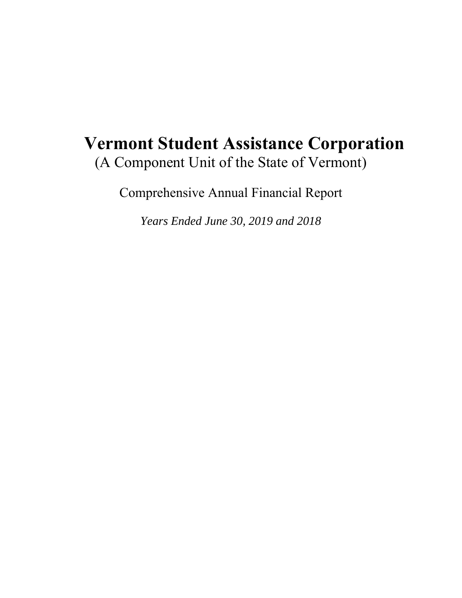# **Vermont Student Assistance Corporation**  (A Component Unit of the State of Vermont)

Comprehensive Annual Financial Report

*Years Ended June 30, 2019 and 2018*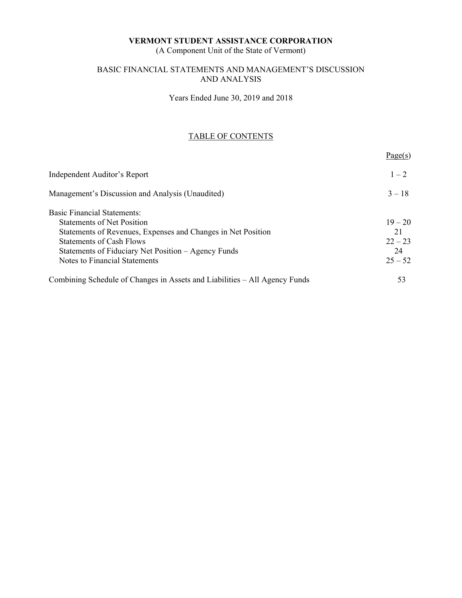(A Component Unit of the State of Vermont)

#### BASIC FINANCIAL STATEMENTS AND MANAGEMENT'S DISCUSSION AND ANALYSIS

Years Ended June 30, 2019 and 2018

# TABLE OF CONTENTS

|                                                                            | Page(s)   |
|----------------------------------------------------------------------------|-----------|
| Independent Auditor's Report                                               | $1 - 2$   |
| Management's Discussion and Analysis (Unaudited)                           | $3 - 18$  |
| <b>Basic Financial Statements:</b>                                         |           |
| <b>Statements of Net Position</b>                                          | $19 - 20$ |
| Statements of Revenues, Expenses and Changes in Net Position               | 21        |
| <b>Statements of Cash Flows</b>                                            | $22 - 23$ |
| Statements of Fiduciary Net Position – Agency Funds                        | 24        |
| Notes to Financial Statements                                              | $25 - 52$ |
| Combining Schedule of Changes in Assets and Liabilities - All Agency Funds | 53        |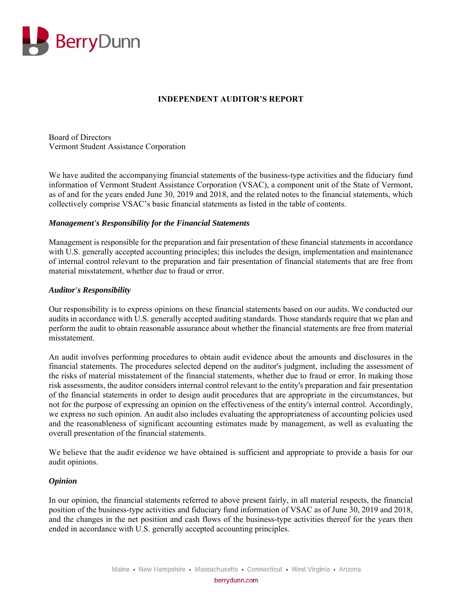

## **INDEPENDENT AUDITOR'S REPORT**

Board of Directors Vermont Student Assistance Corporation

We have audited the accompanying financial statements of the business-type activities and the fiduciary fund information of Vermont Student Assistance Corporation (VSAC), a component unit of the State of Vermont, as of and for the years ended June 30, 2019 and 2018, and the related notes to the financial statements, which collectively comprise VSAC's basic financial statements as listed in the table of contents.

#### *Management's Responsibility for the Financial Statements*

Management is responsible for the preparation and fair presentation of these financial statements in accordance with U.S. generally accepted accounting principles; this includes the design, implementation and maintenance of internal control relevant to the preparation and fair presentation of financial statements that are free from material misstatement, whether due to fraud or error.

#### *Auditor's Responsibility*

Our responsibility is to express opinions on these financial statements based on our audits. We conducted our audits in accordance with U.S. generally accepted auditing standards. Those standards require that we plan and perform the audit to obtain reasonable assurance about whether the financial statements are free from material misstatement.

An audit involves performing procedures to obtain audit evidence about the amounts and disclosures in the financial statements. The procedures selected depend on the auditor's judgment, including the assessment of the risks of material misstatement of the financial statements, whether due to fraud or error. In making those risk assessments, the auditor considers internal control relevant to the entity's preparation and fair presentation of the financial statements in order to design audit procedures that are appropriate in the circumstances, but not for the purpose of expressing an opinion on the effectiveness of the entity's internal control. Accordingly, we express no such opinion. An audit also includes evaluating the appropriateness of accounting policies used and the reasonableness of significant accounting estimates made by management, as well as evaluating the overall presentation of the financial statements.

We believe that the audit evidence we have obtained is sufficient and appropriate to provide a basis for our audit opinions.

#### *Opinion*

In our opinion, the financial statements referred to above present fairly, in all material respects, the financial position of the business-type activities and fiduciary fund information of VSAC as of June 30, 2019 and 2018, and the changes in the net position and cash flows of the business-type activities thereof for the years then ended in accordance with U.S. generally accepted accounting principles.

berrydunn.com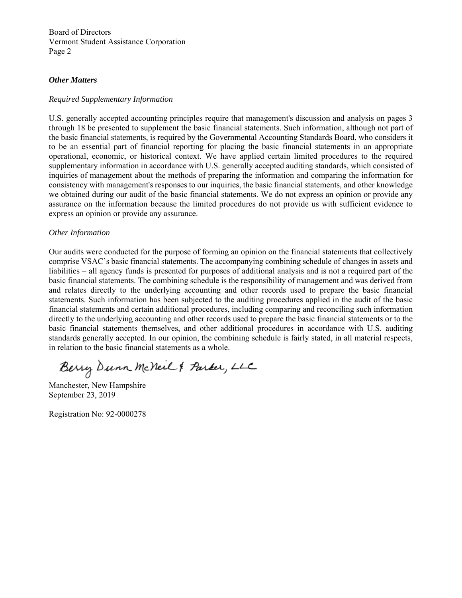Board of Directors Vermont Student Assistance Corporation Page 2

#### *Other Matters*

#### *Required Supplementary Information*

U.S. generally accepted accounting principles require that management's discussion and analysis on pages 3 through 18 be presented to supplement the basic financial statements. Such information, although not part of the basic financial statements, is required by the Governmental Accounting Standards Board, who considers it to be an essential part of financial reporting for placing the basic financial statements in an appropriate operational, economic, or historical context. We have applied certain limited procedures to the required supplementary information in accordance with U.S. generally accepted auditing standards, which consisted of inquiries of management about the methods of preparing the information and comparing the information for consistency with management's responses to our inquiries, the basic financial statements, and other knowledge we obtained during our audit of the basic financial statements. We do not express an opinion or provide any assurance on the information because the limited procedures do not provide us with sufficient evidence to express an opinion or provide any assurance.

#### *Other Information*

Our audits were conducted for the purpose of forming an opinion on the financial statements that collectively comprise VSAC's basic financial statements. The accompanying combining schedule of changes in assets and liabilities – all agency funds is presented for purposes of additional analysis and is not a required part of the basic financial statements. The combining schedule is the responsibility of management and was derived from and relates directly to the underlying accounting and other records used to prepare the basic financial statements. Such information has been subjected to the auditing procedures applied in the audit of the basic financial statements and certain additional procedures, including comparing and reconciling such information directly to the underlying accounting and other records used to prepare the basic financial statements or to the basic financial statements themselves, and other additional procedures in accordance with U.S. auditing standards generally accepted. In our opinion, the combining schedule is fairly stated, in all material respects, in relation to the basic financial statements as a whole.

Berry Dunn McNeil & Parker, LLC

Manchester, New Hampshire September 23, 2019

Registration No: 92-0000278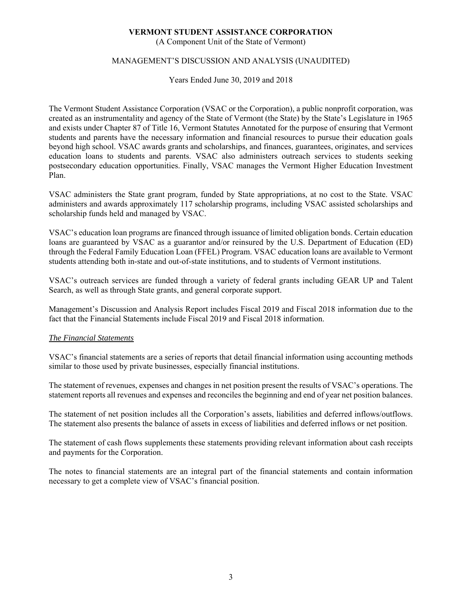(A Component Unit of the State of Vermont)

### MANAGEMENT'S DISCUSSION AND ANALYSIS (UNAUDITED)

Years Ended June 30, 2019 and 2018

The Vermont Student Assistance Corporation (VSAC or the Corporation), a public nonprofit corporation, was created as an instrumentality and agency of the State of Vermont (the State) by the State's Legislature in 1965 and exists under Chapter 87 of Title 16, Vermont Statutes Annotated for the purpose of ensuring that Vermont students and parents have the necessary information and financial resources to pursue their education goals beyond high school. VSAC awards grants and scholarships, and finances, guarantees, originates, and services education loans to students and parents. VSAC also administers outreach services to students seeking postsecondary education opportunities. Finally, VSAC manages the Vermont Higher Education Investment Plan.

VSAC administers the State grant program, funded by State appropriations, at no cost to the State. VSAC administers and awards approximately 117 scholarship programs, including VSAC assisted scholarships and scholarship funds held and managed by VSAC.

VSAC's education loan programs are financed through issuance of limited obligation bonds. Certain education loans are guaranteed by VSAC as a guarantor and/or reinsured by the U.S. Department of Education (ED) through the Federal Family Education Loan (FFEL) Program. VSAC education loans are available to Vermont students attending both in-state and out-of-state institutions, and to students of Vermont institutions.

VSAC's outreach services are funded through a variety of federal grants including GEAR UP and Talent Search, as well as through State grants, and general corporate support.

Management's Discussion and Analysis Report includes Fiscal 2019 and Fiscal 2018 information due to the fact that the Financial Statements include Fiscal 2019 and Fiscal 2018 information.

#### *The Financial Statements*

VSAC's financial statements are a series of reports that detail financial information using accounting methods similar to those used by private businesses, especially financial institutions.

The statement of revenues, expenses and changes in net position present the results of VSAC's operations. The statement reports all revenues and expenses and reconciles the beginning and end of year net position balances.

The statement of net position includes all the Corporation's assets, liabilities and deferred inflows/outflows. The statement also presents the balance of assets in excess of liabilities and deferred inflows or net position.

The statement of cash flows supplements these statements providing relevant information about cash receipts and payments for the Corporation.

The notes to financial statements are an integral part of the financial statements and contain information necessary to get a complete view of VSAC's financial position.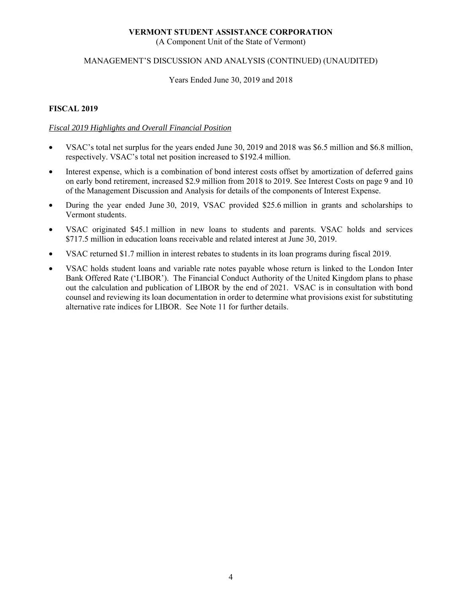(A Component Unit of the State of Vermont)

#### MANAGEMENT'S DISCUSSION AND ANALYSIS (CONTINUED) (UNAUDITED)

#### Years Ended June 30, 2019 and 2018

#### **FISCAL 2019**

### *Fiscal 2019 Highlights and Overall Financial Position*

- VSAC's total net surplus for the years ended June 30, 2019 and 2018 was \$6.5 million and \$6.8 million, respectively. VSAC's total net position increased to \$192.4 million.
- Interest expense, which is a combination of bond interest costs offset by amortization of deferred gains on early bond retirement, increased \$2.9 million from 2018 to 2019. See Interest Costs on page 9 and 10 of the Management Discussion and Analysis for details of the components of Interest Expense.
- During the year ended June 30, 2019, VSAC provided \$25.6 million in grants and scholarships to Vermont students.
- VSAC originated \$45.1 million in new loans to students and parents. VSAC holds and services \$717.5 million in education loans receivable and related interest at June 30, 2019.
- VSAC returned \$1.7 million in interest rebates to students in its loan programs during fiscal 2019.
- VSAC holds student loans and variable rate notes payable whose return is linked to the London Inter Bank Offered Rate ('LIBOR'). The Financial Conduct Authority of the United Kingdom plans to phase out the calculation and publication of LIBOR by the end of 2021. VSAC is in consultation with bond counsel and reviewing its loan documentation in order to determine what provisions exist for substituting alternative rate indices for LIBOR. See Note 11 for further details.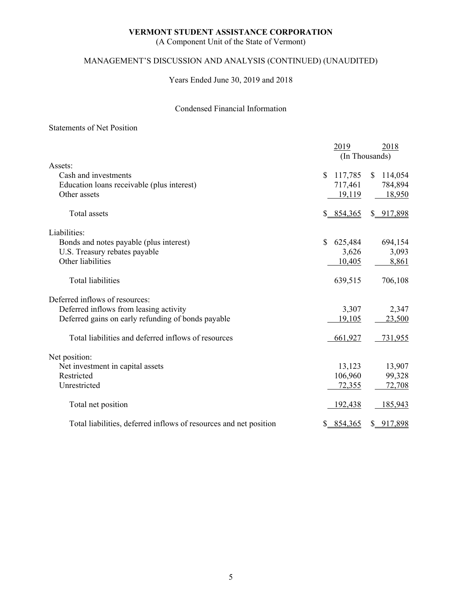(A Component Unit of the State of Vermont)

# MANAGEMENT'S DISCUSSION AND ANALYSIS (CONTINUED) (UNAUDITED)

Years Ended June 30, 2019 and 2018

### Condensed Financial Information

#### Statements of Net Position

|                                                                   | 2019                    | 2018                    |
|-------------------------------------------------------------------|-------------------------|-------------------------|
|                                                                   |                         | (In Thousands)          |
| Assets:                                                           |                         |                         |
| Cash and investments                                              | 117,785<br><sup>S</sup> | 114,054<br>$\mathbb{S}$ |
| Education loans receivable (plus interest)                        | 717,461                 | 784,894                 |
| Other assets                                                      | 19,119                  | 18,950                  |
| <b>Total</b> assets                                               | \$8, 854, 365           | \$ 917,898              |
| Liabilities:                                                      |                         |                         |
| Bonds and notes payable (plus interest)                           | \$<br>625,484           | 694,154                 |
| U.S. Treasury rebates payable                                     | 3,626                   | 3,093                   |
| Other liabilities                                                 | 10,405                  | 8,861                   |
| Total liabilities                                                 | 639,515                 | 706,108                 |
| Deferred inflows of resources:                                    |                         |                         |
| Deferred inflows from leasing activity                            | 3,307                   | 2,347                   |
| Deferred gains on early refunding of bonds payable                | 19,105                  | 23,500                  |
| Total liabilities and deferred inflows of resources               | 661,927                 | 731,955                 |
| Net position:                                                     |                         |                         |
| Net investment in capital assets                                  | 13,123                  | 13,907                  |
| Restricted                                                        | 106,960                 | 99,328                  |
| Unrestricted                                                      | 72,355                  | 72,708                  |
| Total net position                                                | <u>192,438</u>          | 185,943                 |
| Total liabilities, deferred inflows of resources and net position | 854,365                 | \$ 917,898              |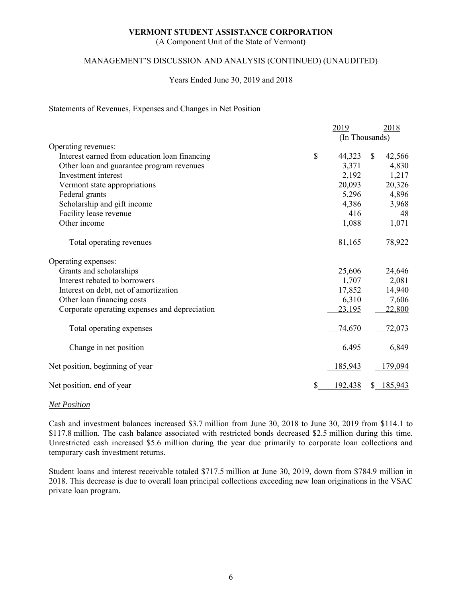(A Component Unit of the State of Vermont)

#### MANAGEMENT'S DISCUSSION AND ANALYSIS (CONTINUED) (UNAUDITED)

#### Years Ended June 30, 2019 and 2018

#### Statements of Revenues, Expenses and Changes in Net Position

|                                               |    | 2019           | 2018                   |
|-----------------------------------------------|----|----------------|------------------------|
|                                               |    | (In Thousands) |                        |
| Operating revenues:                           |    |                |                        |
| Interest earned from education loan financing | \$ | 44,323         | $\mathbb{S}$<br>42,566 |
| Other loan and guarantee program revenues     |    | 3,371          | 4,830                  |
| Investment interest                           |    | 2,192          | 1,217                  |
| Vermont state appropriations                  |    | 20,093         | 20,326                 |
| Federal grants                                |    | 5,296          | 4,896                  |
| Scholarship and gift income                   |    | 4,386          | 3,968                  |
| Facility lease revenue                        |    | 416            | 48                     |
| Other income                                  |    | 1,088          | 1,071                  |
| Total operating revenues                      |    | 81,165         | 78,922                 |
| Operating expenses:                           |    |                |                        |
| Grants and scholarships                       |    | 25,606         | 24,646                 |
| Interest rebated to borrowers                 |    | 1,707          | 2,081                  |
| Interest on debt, net of amortization         |    | 17,852         | 14,940                 |
| Other loan financing costs                    |    | 6,310          | 7,606                  |
| Corporate operating expenses and depreciation |    | 23,195         | 22,800                 |
| Total operating expenses                      |    | 74,670         | 72,073                 |
| Change in net position                        |    | 6,495          | 6,849                  |
| Net position, beginning of year               |    | 185,943        | 179,094                |
| Net position, end of year                     | S  | 192,438        | 185,943<br>S.          |
|                                               |    |                |                        |

#### *Net Position*

Cash and investment balances increased \$3.7 million from June 30, 2018 to June 30, 2019 from \$114.1 to \$117.8 million. The cash balance associated with restricted bonds decreased \$2.5 million during this time. Unrestricted cash increased \$5.6 million during the year due primarily to corporate loan collections and temporary cash investment returns.

Student loans and interest receivable totaled \$717.5 million at June 30, 2019, down from \$784.9 million in 2018. This decrease is due to overall loan principal collections exceeding new loan originations in the VSAC private loan program.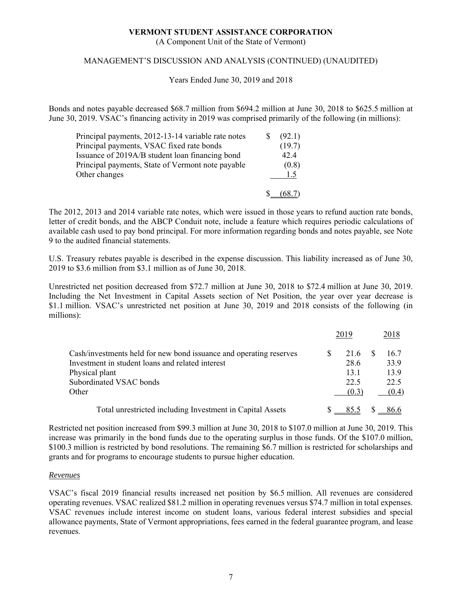(A Component Unit of the State of Vermont)

#### MANAGEMENT'S DISCUSSION AND ANALYSIS (CONTINUED) (UNAUDITED)

Years Ended June 30, 2019 and 2018

Bonds and notes payable decreased \$68.7 million from \$694.2 million at June 30, 2018 to \$625.5 million at June 30, 2019. VSAC's financing activity in 2019 was comprised primarily of the following (in millions):

| Principal payments, 2012-13-14 variable rate notes | (92.1) |
|----------------------------------------------------|--------|
| Principal payments, VSAC fixed rate bonds          | (19.7) |
| Issuance of 2019A/B student loan financing bond    | 42.4   |
| Principal payments, State of Vermont note payable  | (0.8)  |
| Other changes                                      | 1.5    |
|                                                    |        |

The 2012, 2013 and 2014 variable rate notes, which were issued in those years to refund auction rate bonds, letter of credit bonds, and the ABCP Conduit note, include a feature which requires periodic calculations of available cash used to pay bond principal. For more information regarding bonds and notes payable, see Note 9 to the audited financial statements.

U.S. Treasury rebates payable is described in the expense discussion. This liability increased as of June 30, 2019 to \$3.6 million from \$3.1 million as of June 30, 2018.

Unrestricted net position decreased from \$72.7 million at June 30, 2018 to \$72.4 million at June 30, 2019. Including the Net Investment in Capital Assets section of Net Position, the year over year decrease is \$1.1 million. VSAC's unrestricted net position at June 30, 2019 and 2018 consists of the following (in millions):

|                                                                    | 2019  | 2018  |
|--------------------------------------------------------------------|-------|-------|
| Cash/investments held for new bond issuance and operating reserves | 21.6  | 16.7  |
| Investment in student loans and related interest                   | 28.6  | 33.9  |
| Physical plant                                                     | 13.1  | 13.9  |
| Subordinated VSAC bonds                                            | 22.5  | 22.5  |
| Other                                                              | (0.3) | (0.4) |
| Total unrestricted including Investment in Capital Assets          | 85.5  | 86.6  |

Restricted net position increased from \$99.3 million at June 30, 2018 to \$107.0 million at June 30, 2019. This increase was primarily in the bond funds due to the operating surplus in those funds. Of the \$107.0 million, \$100.3 million is restricted by bond resolutions. The remaining \$6.7 million is restricted for scholarships and grants and for programs to encourage students to pursue higher education.

#### *Revenues*

VSAC's fiscal 2019 financial results increased net position by \$6.5 million. All revenues are considered operating revenues. VSAC realized \$81.2 million in operating revenues versus \$74.7 million in total expenses. VSAC revenues include interest income on student loans, various federal interest subsidies and special allowance payments, State of Vermont appropriations, fees earned in the federal guarantee program, and lease revenues.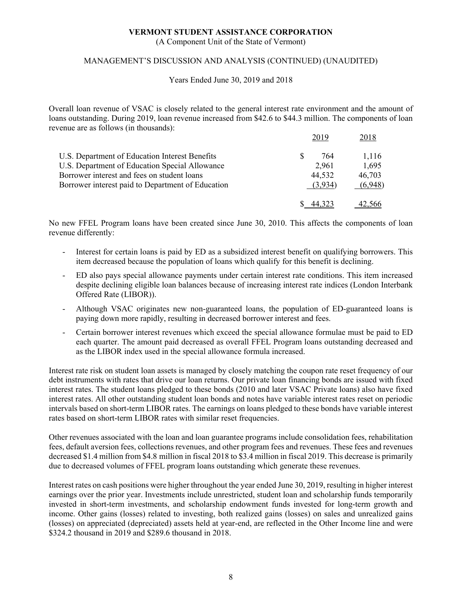(A Component Unit of the State of Vermont)

#### MANAGEMENT'S DISCUSSION AND ANALYSIS (CONTINUED) (UNAUDITED)

Years Ended June 30, 2019 and 2018

Overall loan revenue of VSAC is closely related to the general interest rate environment and the amount of loans outstanding. During 2019, loan revenue increased from \$42.6 to \$44.3 million. The components of loan revenue are as follows (in thousands):

|                                                   | 2019    | 2018    |
|---------------------------------------------------|---------|---------|
| U.S. Department of Education Interest Benefits    | 764     | 1,116   |
| U.S. Department of Education Special Allowance    | 2,961   | 1,695   |
| Borrower interest and fees on student loans       | 44,532  | 46,703  |
| Borrower interest paid to Department of Education | (3.934) | (6,948) |
|                                                   |         |         |

No new FFEL Program loans have been created since June 30, 2010. This affects the components of loan revenue differently:

- Interest for certain loans is paid by ED as a subsidized interest benefit on qualifying borrowers. This item decreased because the population of loans which qualify for this benefit is declining.
- ED also pays special allowance payments under certain interest rate conditions. This item increased despite declining eligible loan balances because of increasing interest rate indices (London Interbank Offered Rate (LIBOR)).
- Although VSAC originates new non-guaranteed loans, the population of ED-guaranteed loans is paying down more rapidly, resulting in decreased borrower interest and fees.
- Certain borrower interest revenues which exceed the special allowance formulae must be paid to ED each quarter. The amount paid decreased as overall FFEL Program loans outstanding decreased and as the LIBOR index used in the special allowance formula increased.

Interest rate risk on student loan assets is managed by closely matching the coupon rate reset frequency of our debt instruments with rates that drive our loan returns. Our private loan financing bonds are issued with fixed interest rates. The student loans pledged to these bonds (2010 and later VSAC Private loans) also have fixed interest rates. All other outstanding student loan bonds and notes have variable interest rates reset on periodic intervals based on short-term LIBOR rates. The earnings on loans pledged to these bonds have variable interest rates based on short-term LIBOR rates with similar reset frequencies.

Other revenues associated with the loan and loan guarantee programs include consolidation fees, rehabilitation fees, default aversion fees, collections revenues, and other program fees and revenues. These fees and revenues decreased \$1.4 million from \$4.8 million in fiscal 2018 to \$3.4 million in fiscal 2019. This decrease is primarily due to decreased volumes of FFEL program loans outstanding which generate these revenues.

Interest rates on cash positions were higher throughout the year ended June 30, 2019, resulting in higher interest earnings over the prior year. Investments include unrestricted, student loan and scholarship funds temporarily invested in short-term investments, and scholarship endowment funds invested for long-term growth and income. Other gains (losses) related to investing, both realized gains (losses) on sales and unrealized gains (losses) on appreciated (depreciated) assets held at year-end, are reflected in the Other Income line and were \$324.2 thousand in 2019 and \$289.6 thousand in 2018.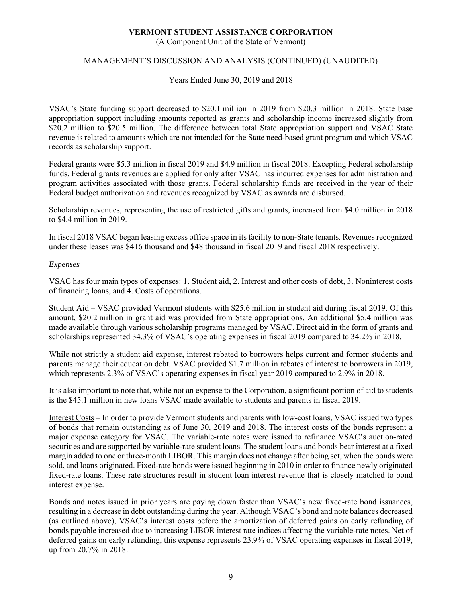(A Component Unit of the State of Vermont)

### MANAGEMENT'S DISCUSSION AND ANALYSIS (CONTINUED) (UNAUDITED)

Years Ended June 30, 2019 and 2018

VSAC's State funding support decreased to \$20.1 million in 2019 from \$20.3 million in 2018. State base appropriation support including amounts reported as grants and scholarship income increased slightly from \$20.2 million to \$20.5 million. The difference between total State appropriation support and VSAC State revenue is related to amounts which are not intended for the State need-based grant program and which VSAC records as scholarship support.

Federal grants were \$5.3 million in fiscal 2019 and \$4.9 million in fiscal 2018. Excepting Federal scholarship funds, Federal grants revenues are applied for only after VSAC has incurred expenses for administration and program activities associated with those grants. Federal scholarship funds are received in the year of their Federal budget authorization and revenues recognized by VSAC as awards are disbursed.

Scholarship revenues, representing the use of restricted gifts and grants, increased from \$4.0 million in 2018 to \$4.4 million in 2019.

In fiscal 2018 VSAC began leasing excess office space in its facility to non-State tenants. Revenues recognized under these leases was \$416 thousand and \$48 thousand in fiscal 2019 and fiscal 2018 respectively.

#### *Expenses*

VSAC has four main types of expenses: 1. Student aid, 2. Interest and other costs of debt, 3. Noninterest costs of financing loans, and 4. Costs of operations.

Student Aid – VSAC provided Vermont students with \$25.6 million in student aid during fiscal 2019. Of this amount, \$20.2 million in grant aid was provided from State appropriations. An additional \$5.4 million was made available through various scholarship programs managed by VSAC. Direct aid in the form of grants and scholarships represented 34.3% of VSAC's operating expenses in fiscal 2019 compared to 34.2% in 2018.

While not strictly a student aid expense, interest rebated to borrowers helps current and former students and parents manage their education debt. VSAC provided \$1.7 million in rebates of interest to borrowers in 2019, which represents 2.3% of VSAC's operating expenses in fiscal year 2019 compared to 2.9% in 2018.

It is also important to note that, while not an expense to the Corporation, a significant portion of aid to students is the \$45.1 million in new loans VSAC made available to students and parents in fiscal 2019.

Interest Costs – In order to provide Vermont students and parents with low-cost loans, VSAC issued two types of bonds that remain outstanding as of June 30, 2019 and 2018. The interest costs of the bonds represent a major expense category for VSAC. The variable-rate notes were issued to refinance VSAC's auction-rated securities and are supported by variable-rate student loans. The student loans and bonds bear interest at a fixed margin added to one or three-month LIBOR. This margin does not change after being set, when the bonds were sold, and loans originated. Fixed-rate bonds were issued beginning in 2010 in order to finance newly originated fixed-rate loans. These rate structures result in student loan interest revenue that is closely matched to bond interest expense.

Bonds and notes issued in prior years are paying down faster than VSAC's new fixed-rate bond issuances, resulting in a decrease in debt outstanding during the year. Although VSAC's bond and note balances decreased (as outlined above), VSAC's interest costs before the amortization of deferred gains on early refunding of bonds payable increased due to increasing LIBOR interest rate indices affecting the variable-rate notes. Net of deferred gains on early refunding, this expense represents 23.9% of VSAC operating expenses in fiscal 2019, up from 20.7% in 2018.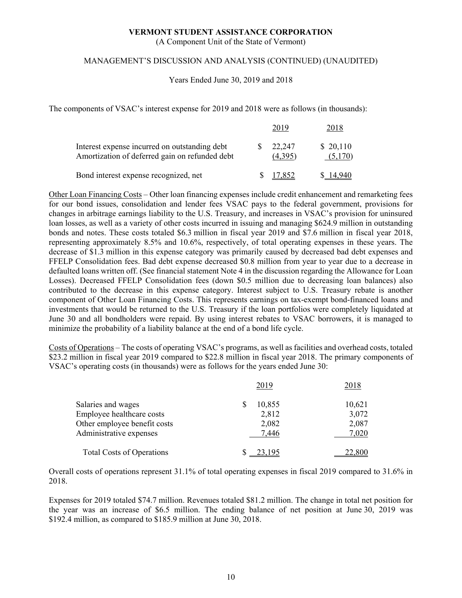(A Component Unit of the State of Vermont)

#### MANAGEMENT'S DISCUSSION AND ANALYSIS (CONTINUED) (UNAUDITED)

Years Ended June 30, 2019 and 2018

The components of VSAC's interest expense for 2019 and 2018 were as follows (in thousands):

|                                                                                                 | - 701 प           | 2018                |
|-------------------------------------------------------------------------------------------------|-------------------|---------------------|
| Interest expense incurred on outstanding debt<br>Amortization of deferred gain on refunded debt | 22,247<br>(4,395) | \$20,110<br>(5.170) |
| Bond interest expense recognized, net                                                           | 7,852             |                     |

Other Loan Financing Costs – Other loan financing expenses include credit enhancement and remarketing fees for our bond issues, consolidation and lender fees VSAC pays to the federal government, provisions for changes in arbitrage earnings liability to the U.S. Treasury, and increases in VSAC's provision for uninsured loan losses, as well as a variety of other costs incurred in issuing and managing \$624.9 million in outstanding bonds and notes. These costs totaled \$6.3 million in fiscal year 2019 and \$7.6 million in fiscal year 2018, representing approximately 8.5% and 10.6%, respectively, of total operating expenses in these years. The decrease of \$1.3 million in this expense category was primarily caused by decreased bad debt expenses and FFELP Consolidation fees. Bad debt expense decreased \$0.8 million from year to year due to a decrease in defaulted loans written off. (See financial statement Note 4 in the discussion regarding the Allowance for Loan Losses). Decreased FFELP Consolidation fees (down \$0.5 million due to decreasing loan balances) also contributed to the decrease in this expense category. Interest subject to U.S. Treasury rebate is another component of Other Loan Financing Costs. This represents earnings on tax-exempt bond-financed loans and investments that would be returned to the U.S. Treasury if the loan portfolios were completely liquidated at June 30 and all bondholders were repaid. By using interest rebates to VSAC borrowers, it is managed to minimize the probability of a liability balance at the end of a bond life cycle.

Costs of Operations – The costs of operating VSAC's programs, as well as facilities and overhead costs, totaled \$23.2 million in fiscal year 2019 compared to \$22.8 million in fiscal year 2018. The primary components of VSAC's operating costs (in thousands) were as follows for the years ended June 30:

|                                  | 2019   | 2018   |
|----------------------------------|--------|--------|
| Salaries and wages               | 10,855 | 10,621 |
| Employee healthcare costs        | 2,812  | 3,072  |
| Other employee benefit costs     | 2,082  | 2,087  |
| Administrative expenses          | 7,446  | 7,020  |
| <b>Total Costs of Operations</b> | 23.195 | 22,800 |

Overall costs of operations represent 31.1% of total operating expenses in fiscal 2019 compared to 31.6% in 2018.

Expenses for 2019 totaled \$74.7 million. Revenues totaled \$81.2 million. The change in total net position for the year was an increase of \$6.5 million. The ending balance of net position at June 30, 2019 was \$192.4 million, as compared to \$185.9 million at June 30, 2018.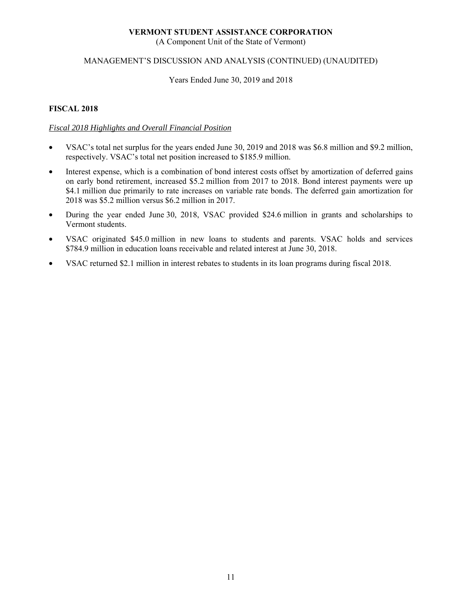(A Component Unit of the State of Vermont)

#### MANAGEMENT'S DISCUSSION AND ANALYSIS (CONTINUED) (UNAUDITED)

#### Years Ended June 30, 2019 and 2018

#### **FISCAL 2018**

### *Fiscal 2018 Highlights and Overall Financial Position*

- VSAC's total net surplus for the years ended June 30, 2019 and 2018 was \$6.8 million and \$9.2 million, respectively. VSAC's total net position increased to \$185.9 million.
- Interest expense, which is a combination of bond interest costs offset by amortization of deferred gains on early bond retirement, increased \$5.2 million from 2017 to 2018. Bond interest payments were up \$4.1 million due primarily to rate increases on variable rate bonds. The deferred gain amortization for 2018 was \$5.2 million versus \$6.2 million in 2017.
- During the year ended June 30, 2018, VSAC provided \$24.6 million in grants and scholarships to Vermont students.
- VSAC originated \$45.0 million in new loans to students and parents. VSAC holds and services \$784.9 million in education loans receivable and related interest at June 30, 2018.
- VSAC returned \$2.1 million in interest rebates to students in its loan programs during fiscal 2018.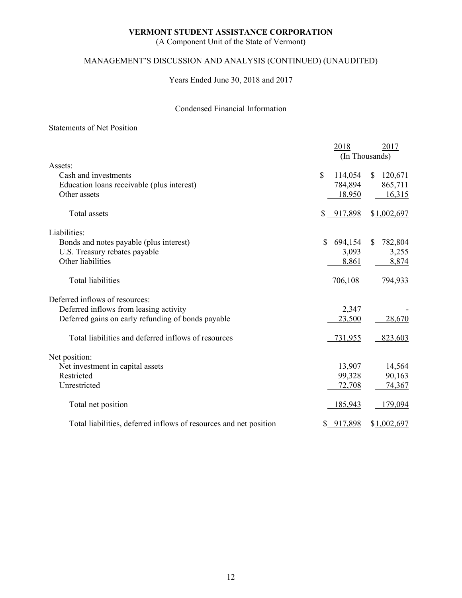(A Component Unit of the State of Vermont)

# MANAGEMENT'S DISCUSSION AND ANALYSIS (CONTINUED) (UNAUDITED)

Years Ended June 30, 2018 and 2017

### Condensed Financial Information

#### Statements of Net Position

|                                                                   | 2018          | 2017                    |
|-------------------------------------------------------------------|---------------|-------------------------|
|                                                                   |               | (In Thousands)          |
| Assets:                                                           |               |                         |
| Cash and investments                                              | \$<br>114,054 | 120,671<br><sup>S</sup> |
| Education loans receivable (plus interest)                        | 784,894       | 865,711                 |
| Other assets                                                      | 18,950        | 16,315                  |
| Total assets                                                      | \$ 917,898    | \$1,002,697             |
| Liabilities:                                                      |               |                         |
| Bonds and notes payable (plus interest)                           | \$<br>694,154 | 782,804<br><sup>S</sup> |
| U.S. Treasury rebates payable                                     | 3,093         | 3,255                   |
| Other liabilities                                                 | 8,861         | 8,874                   |
| Total liabilities                                                 | 706,108       | 794,933                 |
| Deferred inflows of resources:                                    |               |                         |
| Deferred inflows from leasing activity                            | 2,347         |                         |
| Deferred gains on early refunding of bonds payable                | 23,500        | 28,670                  |
| Total liabilities and deferred inflows of resources               | 731,955       | 823,603                 |
| Net position:                                                     |               |                         |
| Net investment in capital assets                                  | 13,907        | 14,564                  |
| Restricted                                                        | 99,328        | 90,163                  |
| Unrestricted                                                      | 72,708        | 74,367                  |
| Total net position                                                | 185,943       | 179,094                 |
| Total liabilities, deferred inflows of resources and net position | \$917,898     | \$1,002,697             |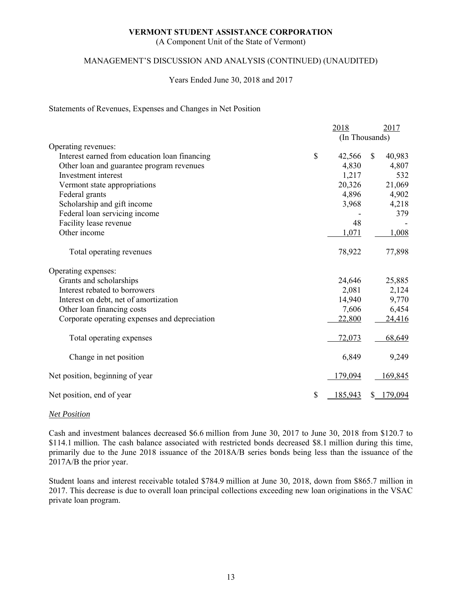(A Component Unit of the State of Vermont)

#### MANAGEMENT'S DISCUSSION AND ANALYSIS (CONTINUED) (UNAUDITED)

#### Years Ended June 30, 2018 and 2017

#### Statements of Revenues, Expenses and Changes in Net Position

|                                               | 2018           | 2017          |
|-----------------------------------------------|----------------|---------------|
|                                               | (In Thousands) |               |
| Operating revenues:                           |                |               |
| Interest earned from education loan financing | \$<br>42,566   | 40,983<br>\$. |
| Other loan and guarantee program revenues     | 4,830          | 4,807         |
| Investment interest                           | 1,217          | 532           |
| Vermont state appropriations                  | 20,326         | 21,069        |
| Federal grants                                | 4,896          | 4,902         |
| Scholarship and gift income                   | 3,968          | 4,218         |
| Federal loan servicing income                 |                | 379           |
| Facility lease revenue                        | 48             |               |
| Other income                                  | 1,071          | 1,008         |
| Total operating revenues                      | 78,922         | 77,898        |
| Operating expenses:                           |                |               |
| Grants and scholarships                       | 24,646         | 25,885        |
| Interest rebated to borrowers                 | 2,081          | 2,124         |
| Interest on debt, net of amortization         | 14,940         | 9,770         |
| Other loan financing costs                    | 7,606          | 6,454         |
| Corporate operating expenses and depreciation | 22,800         | 24,416        |
| Total operating expenses                      | 72,073         | 68,649        |
| Change in net position                        | 6,849          | 9,249         |
| Net position, beginning of year               | 179,094        | 169,845       |
| Net position, end of year                     | \$<br>185,943  | \$179,094     |

#### *Net Position*

Cash and investment balances decreased \$6.6 million from June 30, 2017 to June 30, 2018 from \$120.7 to \$114.1 million. The cash balance associated with restricted bonds decreased \$8.1 million during this time, primarily due to the June 2018 issuance of the 2018A/B series bonds being less than the issuance of the 2017A/B the prior year.

Student loans and interest receivable totaled \$784.9 million at June 30, 2018, down from \$865.7 million in 2017. This decrease is due to overall loan principal collections exceeding new loan originations in the VSAC private loan program.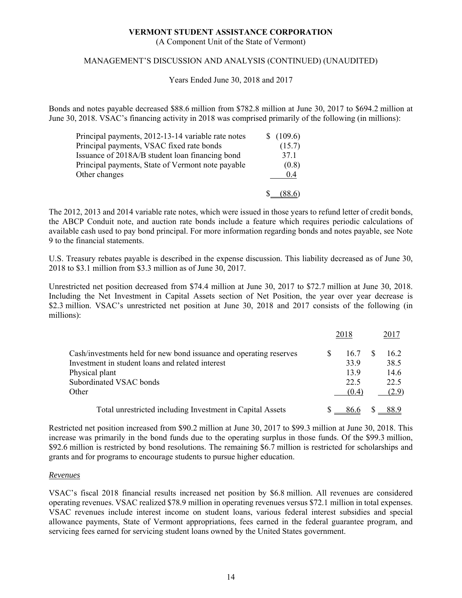(A Component Unit of the State of Vermont)

#### MANAGEMENT'S DISCUSSION AND ANALYSIS (CONTINUED) (UNAUDITED)

Years Ended June 30, 2018 and 2017

Bonds and notes payable decreased \$88.6 million from \$782.8 million at June 30, 2017 to \$694.2 million at June 30, 2018. VSAC's financing activity in 2018 was comprised primarily of the following (in millions):

| Principal payments, 2012-13-14 variable rate notes | \$(109.6) |
|----------------------------------------------------|-----------|
| Principal payments, VSAC fixed rate bonds          | (15.7)    |
| Issuance of 2018A/B student loan financing bond    | 37.1      |
| Principal payments, State of Vermont note payable  | (0.8)     |
| Other changes                                      | 0.4       |
|                                                    |           |

The 2012, 2013 and 2014 variable rate notes, which were issued in those years to refund letter of credit bonds, the ABCP Conduit note, and auction rate bonds include a feature which requires periodic calculations of available cash used to pay bond principal. For more information regarding bonds and notes payable, see Note 9 to the financial statements.

U.S. Treasury rebates payable is described in the expense discussion. This liability decreased as of June 30, 2018 to \$3.1 million from \$3.3 million as of June 30, 2017.

Unrestricted net position decreased from \$74.4 million at June 30, 2017 to \$72.7 million at June 30, 2018. Including the Net Investment in Capital Assets section of Net Position, the year over year decrease is \$2.3 million. VSAC's unrestricted net position at June 30, 2018 and 2017 consists of the following (in millions):

|                                                                    | 2018  | 2017  |
|--------------------------------------------------------------------|-------|-------|
| Cash/investments held for new bond issuance and operating reserves | 16.7  | 16.2  |
| Investment in student loans and related interest                   | 33.9  | 38.5  |
| Physical plant                                                     | 13.9  | 14.6  |
| Subordinated VSAC bonds                                            | 22.5  | 22.5  |
| Other                                                              | (0.4) | (2.9) |
| Total unrestricted including Investment in Capital Assets          | 86.6  | 88.9  |

Restricted net position increased from \$90.2 million at June 30, 2017 to \$99.3 million at June 30, 2018. This increase was primarily in the bond funds due to the operating surplus in those funds. Of the \$99.3 million, \$92.6 million is restricted by bond resolutions. The remaining \$6.7 million is restricted for scholarships and grants and for programs to encourage students to pursue higher education.

#### *Revenues*

VSAC's fiscal 2018 financial results increased net position by \$6.8 million. All revenues are considered operating revenues. VSAC realized \$78.9 million in operating revenues versus \$72.1 million in total expenses. VSAC revenues include interest income on student loans, various federal interest subsidies and special allowance payments, State of Vermont appropriations, fees earned in the federal guarantee program, and servicing fees earned for servicing student loans owned by the United States government.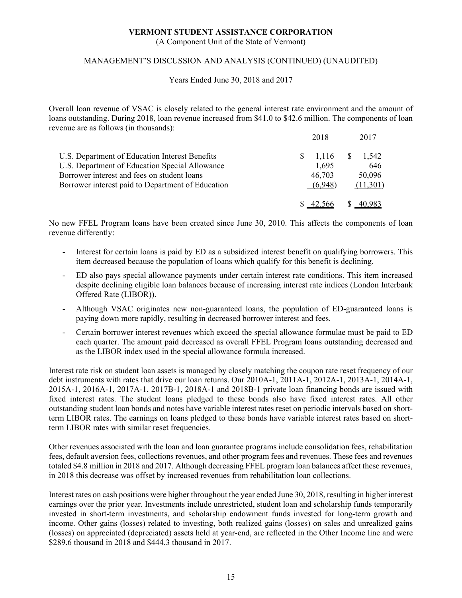(A Component Unit of the State of Vermont)

#### MANAGEMENT'S DISCUSSION AND ANALYSIS (CONTINUED) (UNAUDITED)

Years Ended June 30, 2018 and 2017

Overall loan revenue of VSAC is closely related to the general interest rate environment and the amount of loans outstanding. During 2018, loan revenue increased from \$41.0 to \$42.6 million. The components of loan revenue are as follows (in thousands):

|                                                   | 2018       | 2017         |
|---------------------------------------------------|------------|--------------|
| U.S. Department of Education Interest Benefits    | $1,116$ \$ | 1.542        |
| U.S. Department of Education Special Allowance    | 1,695      | 646          |
| Borrower interest and fees on student loans       | 46,703     | 50,096       |
| Borrower interest paid to Department of Education | (6.948)    | (11,301)     |
|                                                   |            |              |
|                                                   |            | <sup>8</sup> |

No new FFEL Program loans have been created since June 30, 2010. This affects the components of loan revenue differently:

- Interest for certain loans is paid by ED as a subsidized interest benefit on qualifying borrowers. This item decreased because the population of loans which qualify for this benefit is declining.
- ED also pays special allowance payments under certain interest rate conditions. This item increased despite declining eligible loan balances because of increasing interest rate indices (London Interbank Offered Rate (LIBOR)).
- Although VSAC originates new non-guaranteed loans, the population of ED-guaranteed loans is paying down more rapidly, resulting in decreased borrower interest and fees.
- Certain borrower interest revenues which exceed the special allowance formulae must be paid to ED each quarter. The amount paid decreased as overall FFEL Program loans outstanding decreased and as the LIBOR index used in the special allowance formula increased.

Interest rate risk on student loan assets is managed by closely matching the coupon rate reset frequency of our debt instruments with rates that drive our loan returns. Our 2010A-1, 2011A-1, 2012A-1, 2013A-1, 2014A-1, 2015A-1, 2016A-1, 2017A-1, 2017B-1, 2018A-1 and 2018B-1 private loan financing bonds are issued with fixed interest rates. The student loans pledged to these bonds also have fixed interest rates. All other outstanding student loan bonds and notes have variable interest rates reset on periodic intervals based on shortterm LIBOR rates. The earnings on loans pledged to these bonds have variable interest rates based on shortterm LIBOR rates with similar reset frequencies.

Other revenues associated with the loan and loan guarantee programs include consolidation fees, rehabilitation fees, default aversion fees, collections revenues, and other program fees and revenues. These fees and revenues totaled \$4.8 million in 2018 and 2017. Although decreasing FFEL program loan balances affect these revenues, in 2018 this decrease was offset by increased revenues from rehabilitation loan collections.

Interest rates on cash positions were higher throughout the year ended June 30, 2018, resulting in higher interest earnings over the prior year. Investments include unrestricted, student loan and scholarship funds temporarily invested in short-term investments, and scholarship endowment funds invested for long-term growth and income. Other gains (losses) related to investing, both realized gains (losses) on sales and unrealized gains (losses) on appreciated (depreciated) assets held at year-end, are reflected in the Other Income line and were \$289.6 thousand in 2018 and \$444.3 thousand in 2017.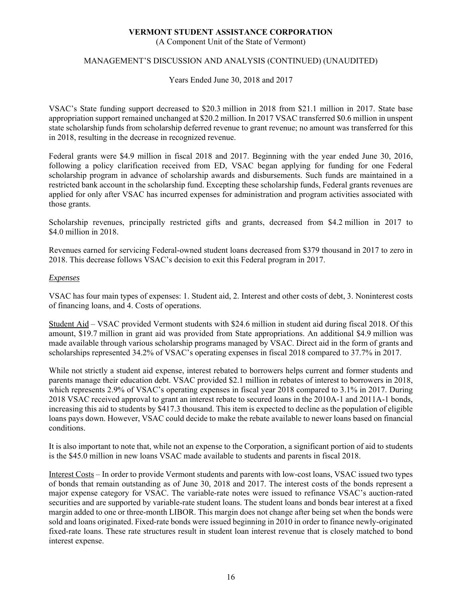(A Component Unit of the State of Vermont)

### MANAGEMENT'S DISCUSSION AND ANALYSIS (CONTINUED) (UNAUDITED)

Years Ended June 30, 2018 and 2017

VSAC's State funding support decreased to \$20.3 million in 2018 from \$21.1 million in 2017. State base appropriation support remained unchanged at \$20.2 million. In 2017 VSAC transferred \$0.6 million in unspent state scholarship funds from scholarship deferred revenue to grant revenue; no amount was transferred for this in 2018, resulting in the decrease in recognized revenue.

Federal grants were \$4.9 million in fiscal 2018 and 2017. Beginning with the year ended June 30, 2016, following a policy clarification received from ED, VSAC began applying for funding for one Federal scholarship program in advance of scholarship awards and disbursements. Such funds are maintained in a restricted bank account in the scholarship fund. Excepting these scholarship funds, Federal grants revenues are applied for only after VSAC has incurred expenses for administration and program activities associated with those grants.

Scholarship revenues, principally restricted gifts and grants, decreased from \$4.2 million in 2017 to \$4.0 million in 2018.

Revenues earned for servicing Federal-owned student loans decreased from \$379 thousand in 2017 to zero in 2018. This decrease follows VSAC's decision to exit this Federal program in 2017.

#### *Expenses*

VSAC has four main types of expenses: 1. Student aid, 2. Interest and other costs of debt, 3. Noninterest costs of financing loans, and 4. Costs of operations.

Student Aid – VSAC provided Vermont students with \$24.6 million in student aid during fiscal 2018. Of this amount, \$19.7 million in grant aid was provided from State appropriations. An additional \$4.9 million was made available through various scholarship programs managed by VSAC. Direct aid in the form of grants and scholarships represented 34.2% of VSAC's operating expenses in fiscal 2018 compared to 37.7% in 2017.

While not strictly a student aid expense, interest rebated to borrowers helps current and former students and parents manage their education debt. VSAC provided \$2.1 million in rebates of interest to borrowers in 2018, which represents 2.9% of VSAC's operating expenses in fiscal year 2018 compared to 3.1% in 2017. During 2018 VSAC received approval to grant an interest rebate to secured loans in the 2010A-1 and 2011A-1 bonds, increasing this aid to students by \$417.3 thousand. This item is expected to decline as the population of eligible loans pays down. However, VSAC could decide to make the rebate available to newer loans based on financial conditions.

It is also important to note that, while not an expense to the Corporation, a significant portion of aid to students is the \$45.0 million in new loans VSAC made available to students and parents in fiscal 2018.

Interest Costs – In order to provide Vermont students and parents with low-cost loans, VSAC issued two types of bonds that remain outstanding as of June 30, 2018 and 2017. The interest costs of the bonds represent a major expense category for VSAC. The variable-rate notes were issued to refinance VSAC's auction-rated securities and are supported by variable-rate student loans. The student loans and bonds bear interest at a fixed margin added to one or three-month LIBOR. This margin does not change after being set when the bonds were sold and loans originated. Fixed-rate bonds were issued beginning in 2010 in order to finance newly-originated fixed-rate loans. These rate structures result in student loan interest revenue that is closely matched to bond interest expense.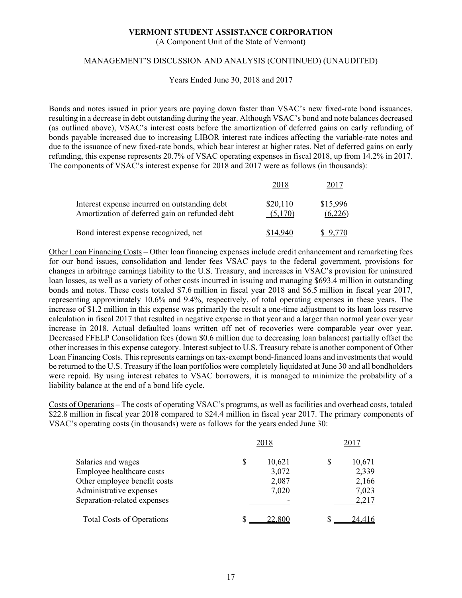(A Component Unit of the State of Vermont)

#### MANAGEMENT'S DISCUSSION AND ANALYSIS (CONTINUED) (UNAUDITED)

Years Ended June 30, 2018 and 2017

Bonds and notes issued in prior years are paying down faster than VSAC's new fixed-rate bond issuances, resulting in a decrease in debt outstanding during the year. Although VSAC's bond and note balances decreased (as outlined above), VSAC's interest costs before the amortization of deferred gains on early refunding of bonds payable increased due to increasing LIBOR interest rate indices affecting the variable-rate notes and due to the issuance of new fixed-rate bonds, which bear interest at higher rates. Net of deferred gains on early refunding, this expense represents 20.7% of VSAC operating expenses in fiscal 2018, up from 14.2% in 2017. The components of VSAC's interest expense for 2018 and 2017 were as follows (in thousands):

| Interest expense incurred on outstanding debt<br>Amortization of deferred gain on refunded debt | \$20,110<br>(5,170) | \$15,996<br>(6,226) |
|-------------------------------------------------------------------------------------------------|---------------------|---------------------|
| Bond interest expense recognized, net                                                           |                     |                     |

Other Loan Financing Costs – Other loan financing expenses include credit enhancement and remarketing fees for our bond issues, consolidation and lender fees VSAC pays to the federal government, provisions for changes in arbitrage earnings liability to the U.S. Treasury, and increases in VSAC's provision for uninsured loan losses, as well as a variety of other costs incurred in issuing and managing \$693.4 million in outstanding bonds and notes. These costs totaled \$7.6 million in fiscal year 2018 and \$6.5 million in fiscal year 2017, representing approximately 10.6% and 9.4%, respectively, of total operating expenses in these years. The increase of \$1.2 million in this expense was primarily the result a one-time adjustment to its loan loss reserve calculation in fiscal 2017 that resulted in negative expense in that year and a larger than normal year over year increase in 2018. Actual defaulted loans written off net of recoveries were comparable year over year. Decreased FFELP Consolidation fees (down \$0.6 million due to decreasing loan balances) partially offset the other increases in this expense category. Interest subject to U.S. Treasury rebate is another component of Other Loan Financing Costs. This represents earnings on tax-exempt bond-financed loans and investments that would be returned to the U.S. Treasury if the loan portfolios were completely liquidated at June 30 and all bondholders were repaid. By using interest rebates to VSAC borrowers, it is managed to minimize the probability of a liability balance at the end of a bond life cycle.

Costs of Operations – The costs of operating VSAC's programs, as well as facilities and overhead costs, totaled \$22.8 million in fiscal year 2018 compared to \$24.4 million in fiscal year 2017. The primary components of VSAC's operating costs (in thousands) were as follows for the years ended June 30:

|                                  | 2018         | 2017        |
|----------------------------------|--------------|-------------|
| Salaries and wages               | \$<br>10,621 | S<br>10,671 |
| Employee healthcare costs        | 3,072        | 2,339       |
| Other employee benefit costs     | 2,087        | 2,166       |
| Administrative expenses          | 7,020        | 7,023       |
| Separation-related expenses      |              | 2,217       |
| <b>Total Costs of Operations</b> | 22,800       | S           |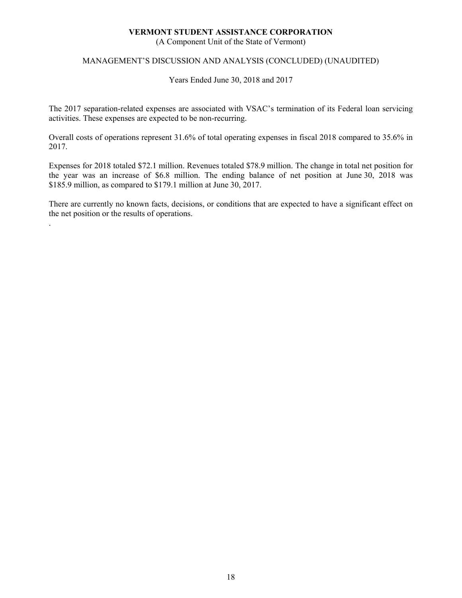(A Component Unit of the State of Vermont)

#### MANAGEMENT'S DISCUSSION AND ANALYSIS (CONCLUDED) (UNAUDITED)

Years Ended June 30, 2018 and 2017

The 2017 separation-related expenses are associated with VSAC's termination of its Federal loan servicing activities. These expenses are expected to be non-recurring.

Overall costs of operations represent 31.6% of total operating expenses in fiscal 2018 compared to 35.6% in 2017.

Expenses for 2018 totaled \$72.1 million. Revenues totaled \$78.9 million. The change in total net position for the year was an increase of \$6.8 million. The ending balance of net position at June 30, 2018 was \$185.9 million, as compared to \$179.1 million at June 30, 2017.

There are currently no known facts, decisions, or conditions that are expected to have a significant effect on the net position or the results of operations.

.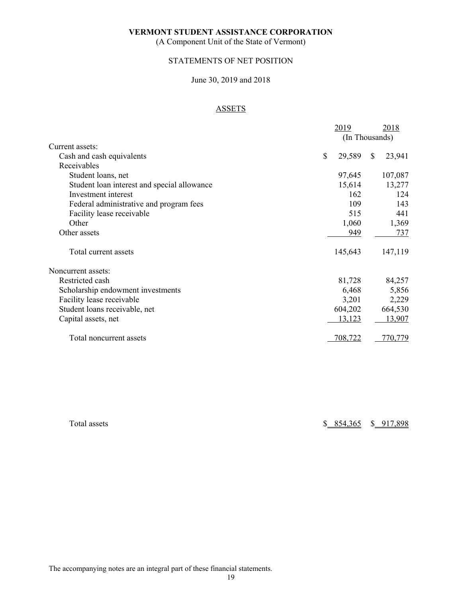(A Component Unit of the State of Vermont)

## STATEMENTS OF NET POSITION

#### June 30, 2019 and 2018

# ASSETS

|                                             | 2019                   | 2018                    |
|---------------------------------------------|------------------------|-------------------------|
|                                             |                        | (In Thousands)          |
| Current assets:                             |                        |                         |
| Cash and cash equivalents                   | $\mathbb{S}$<br>29,589 | 23,941<br><sup>\$</sup> |
| Receivables                                 |                        |                         |
| Student loans, net                          | 97,645                 | 107,087                 |
| Student loan interest and special allowance | 15,614                 | 13,277                  |
| Investment interest                         | 162                    | 124                     |
| Federal administrative and program fees     | 109                    | 143                     |
| Facility lease receivable                   | 515                    | 441                     |
| Other                                       | 1,060                  | 1,369                   |
| Other assets                                | 949                    | 737                     |
| Total current assets                        | 145,643                | 147,119                 |
| Noncurrent assets:                          |                        |                         |
| Restricted cash                             | 81,728                 | 84,257                  |
| Scholarship endowment investments           | 6,468                  | 5,856                   |
| Facility lease receivable                   | 3,201                  | 2,229                   |
| Student loans receivable, net               | 604,202                | 664,530                 |
| Capital assets, net                         | 13,123                 | 13,907                  |
| Total noncurrent assets                     | 708,722                | 770,779                 |

Total assets \$ 854,365 \$ 917,898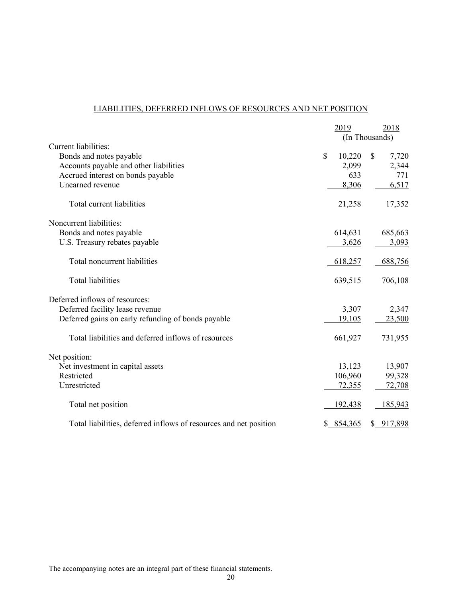# LIABILITIES, DEFERRED INFLOWS OF RESOURCES AND NET POSITION

|                                                                   | 2019           | 2018        |
|-------------------------------------------------------------------|----------------|-------------|
|                                                                   | (In Thousands) |             |
| Current liabilities:                                              |                |             |
| Bonds and notes payable                                           | \$<br>10,220   | \$<br>7,720 |
| Accounts payable and other liabilities                            | 2,099          | 2,344       |
| Accrued interest on bonds payable                                 | 633            | 771         |
| Unearned revenue                                                  | 8,306          | 6,517       |
| Total current liabilities                                         | 21,258         | 17,352      |
| Noncurrent liabilities:                                           |                |             |
| Bonds and notes payable                                           | 614,631        | 685,663     |
| U.S. Treasury rebates payable                                     | 3,626          | 3,093       |
| Total noncurrent liabilities                                      | 618,257        | 688,756     |
| <b>Total liabilities</b>                                          | 639,515        | 706,108     |
| Deferred inflows of resources:                                    |                |             |
| Deferred facility lease revenue                                   | 3,307          | 2,347       |
| Deferred gains on early refunding of bonds payable                | 19,105         | 23,500      |
| Total liabilities and deferred inflows of resources               | 661,927        | 731,955     |
| Net position:                                                     |                |             |
| Net investment in capital assets                                  | 13,123         | 13,907      |
| Restricted                                                        | 106,960        | 99,328      |
| Unrestricted                                                      | 72,355         | 72,708      |
| Total net position                                                | 192,438        | 185,943     |
| Total liabilities, deferred inflows of resources and net position | \$8, 854, 365  | \$ 917,898  |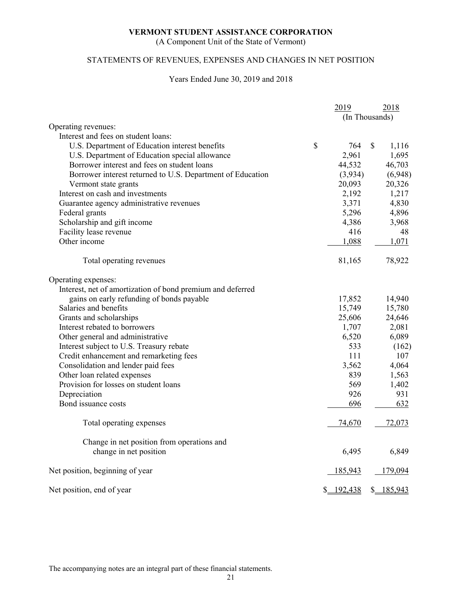(A Component Unit of the State of Vermont)

# STATEMENTS OF REVENUES, EXPENSES AND CHANGES IN NET POSITION

#### Years Ended June 30, 2019 and 2018

|                                                            |               | 2019           |              | 2018       |
|------------------------------------------------------------|---------------|----------------|--------------|------------|
|                                                            |               | (In Thousands) |              |            |
| Operating revenues:                                        |               |                |              |            |
| Interest and fees on student loans:                        |               |                |              |            |
| U.S. Department of Education interest benefits             | $\mathcal{S}$ | 764            | $\mathbb{S}$ | 1,116      |
| U.S. Department of Education special allowance             |               | 2,961          |              | 1,695      |
| Borrower interest and fees on student loans                |               | 44,532         |              | 46,703     |
| Borrower interest returned to U.S. Department of Education |               | (3,934)        |              | (6,948)    |
| Vermont state grants                                       |               | 20,093         |              | 20,326     |
| Interest on cash and investments                           |               | 2,192          |              | 1,217      |
| Guarantee agency administrative revenues                   |               | 3,371          |              | 4,830      |
| Federal grants                                             |               | 5,296          |              | 4,896      |
| Scholarship and gift income                                |               | 4,386          |              | 3,968      |
| Facility lease revenue                                     |               | 416            |              | 48         |
| Other income                                               |               | 1,088          |              | 1,071      |
|                                                            |               |                |              |            |
| Total operating revenues                                   |               | 81,165         |              | 78,922     |
| Operating expenses:                                        |               |                |              |            |
| Interest, net of amortization of bond premium and deferred |               |                |              |            |
| gains on early refunding of bonds payable                  |               | 17,852         |              | 14,940     |
| Salaries and benefits                                      |               | 15,749         |              | 15,780     |
| Grants and scholarships                                    |               | 25,606         |              | 24,646     |
| Interest rebated to borrowers                              |               | 1,707          |              | 2,081      |
| Other general and administrative                           |               | 6,520          |              | 6,089      |
| Interest subject to U.S. Treasury rebate                   |               | 533            |              | (162)      |
| Credit enhancement and remarketing fees                    |               | 111            |              | 107        |
| Consolidation and lender paid fees                         |               | 3,562          |              | 4,064      |
| Other loan related expenses                                |               | 839            |              | 1,563      |
| Provision for losses on student loans                      |               | 569            |              | 1,402      |
| Depreciation                                               |               | 926            |              | 931        |
| Bond issuance costs                                        |               | 696            |              | 632        |
| Total operating expenses                                   |               | 74,670         |              | 72,073     |
| Change in net position from operations and                 |               |                |              |            |
| change in net position                                     |               | 6,495          |              | 6,849      |
| Net position, beginning of year                            |               | 185,943        |              | 179,094    |
| Net position, end of year                                  |               | \$ 192,438     |              | \$ 185,943 |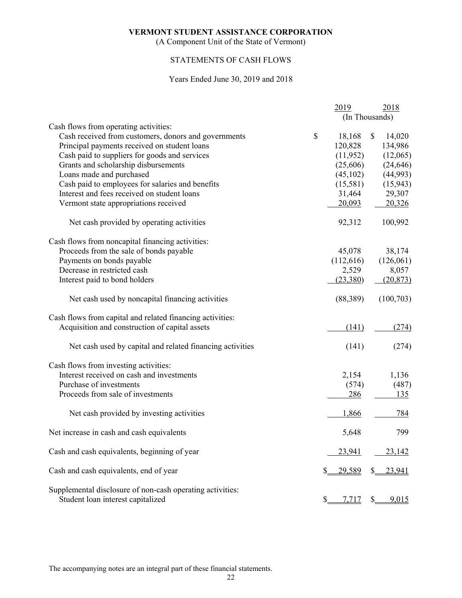(A Component Unit of the State of Vermont)

# STATEMENTS OF CASH FLOWS

#### Years Ended June 30, 2019 and 2018

|                                                           | 2019         | 2018           |
|-----------------------------------------------------------|--------------|----------------|
|                                                           |              | (In Thousands) |
| Cash flows from operating activities:                     |              |                |
| Cash received from customers, donors and governments      | \$<br>18,168 | \$<br>14,020   |
| Principal payments received on student loans              | 120,828      | 134,986        |
| Cash paid to suppliers for goods and services             | (11, 952)    | (12,065)       |
| Grants and scholarship disbursements                      | (25,606)     | (24, 646)      |
| Loans made and purchased                                  | (45,102)     | (44,993)       |
| Cash paid to employees for salaries and benefits          | (15,581)     | (15, 943)      |
| Interest and fees received on student loans               | 31,464       | 29,307         |
| Vermont state appropriations received                     | 20,093       | 20,326         |
| Net cash provided by operating activities                 | 92,312       | 100,992        |
| Cash flows from noncapital financing activities:          |              |                |
| Proceeds from the sale of bonds payable                   | 45,078       | 38,174         |
| Payments on bonds payable                                 | (112, 616)   | (126,061)      |
| Decrease in restricted cash                               | 2,529        | 8,057          |
| Interest paid to bond holders                             | (23,380)     | (20, 873)      |
| Net cash used by noncapital financing activities          | (88, 389)    | (100, 703)     |
| Cash flows from capital and related financing activities: |              |                |
| Acquisition and construction of capital assets            | (141)        | (274)          |
| Net cash used by capital and related financing activities | (141)        | (274)          |
| Cash flows from investing activities:                     |              |                |
| Interest received on cash and investments                 | 2,154        | 1,136          |
| Purchase of investments                                   | (574)        | (487)          |
| Proceeds from sale of investments                         | 286          | 135            |
| Net cash provided by investing activities                 | 1,866        | 784            |
| Net increase in cash and cash equivalents                 | 5,648        | 799            |
| Cash and cash equivalents, beginning of year              | 23,941       | 23,142         |
| Cash and cash equivalents, end of year                    | 29,589       | 23,941         |
| Supplemental disclosure of non-cash operating activities: |              |                |
| Student loan interest capitalized                         | \$.<br>7,717 | 9,015          |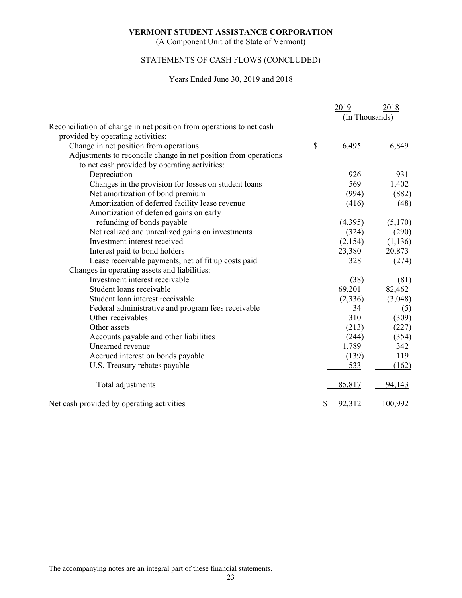(A Component Unit of the State of Vermont)

# STATEMENTS OF CASH FLOWS (CONCLUDED)

#### Years Ended June 30, 2019 and 2018

|                                                                      | 2019           | 2018     |
|----------------------------------------------------------------------|----------------|----------|
|                                                                      | (In Thousands) |          |
| Reconciliation of change in net position from operations to net cash |                |          |
| provided by operating activities:                                    |                |          |
| Change in net position from operations                               | \$<br>6,495    | 6,849    |
| Adjustments to reconcile change in net position from operations      |                |          |
| to net cash provided by operating activities:                        |                |          |
| Depreciation                                                         | 926            | 931      |
| Changes in the provision for losses on student loans                 | 569            | 1,402    |
| Net amortization of bond premium                                     | (994)          | (882)    |
| Amortization of deferred facility lease revenue                      | (416)          | (48)     |
| Amortization of deferred gains on early                              |                |          |
| refunding of bonds payable                                           | (4,395)        | (5,170)  |
| Net realized and unrealized gains on investments                     | (324)          | (290)    |
| Investment interest received                                         | (2,154)        | (1, 136) |
| Interest paid to bond holders                                        | 23,380         | 20,873   |
| Lease receivable payments, net of fit up costs paid                  | 328            | (274)    |
| Changes in operating assets and liabilities:                         |                |          |
| Investment interest receivable                                       | (38)           | (81)     |
| Student loans receivable                                             | 69,201         | 82,462   |
| Student loan interest receivable                                     | (2,336)        | (3,048)  |
| Federal administrative and program fees receivable                   | 34             | (5)      |
| Other receivables                                                    | 310            | (309)    |
| Other assets                                                         | (213)          | (227)    |
| Accounts payable and other liabilities                               | (244)          | (354)    |
| Unearned revenue                                                     | 1,789          | 342      |
| Accrued interest on bonds payable                                    | (139)          | 119      |
| U.S. Treasury rebates payable                                        | 533            | (162)    |
| Total adjustments                                                    | 85,817         | 94,143   |
| Net cash provided by operating activities                            | 92,312         | 100,992  |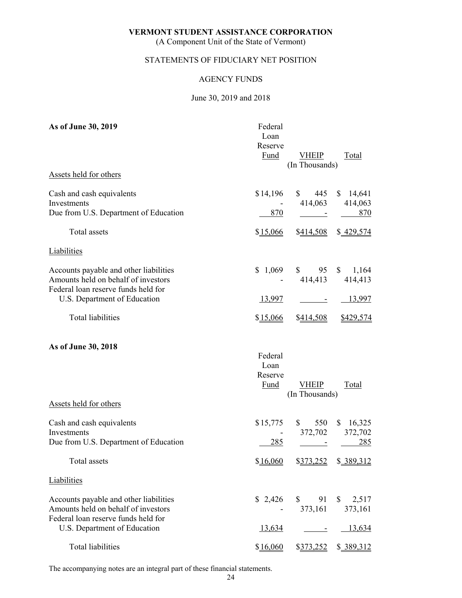(A Component Unit of the State of Vermont)

# STATEMENTS OF FIDUCIARY NET POSITION

#### AGENCY FUNDS

#### June 30, 2019 and 2018

| As of June 30, 2019                      | Federal<br>Loan<br>Reserve |                                |                       |
|------------------------------------------|----------------------------|--------------------------------|-----------------------|
|                                          | <b>Fund</b>                | <b>VHEIP</b>                   | <b>Total</b>          |
|                                          |                            | (In Thousands)                 |                       |
| Assets held for others                   |                            |                                |                       |
| Cash and cash equivalents                | \$14,196                   | 445<br>$\mathbb{S}$            | \$14,641              |
| Investments                              |                            | 414,063                        | 414,063               |
| Due from U.S. Department of Education    | 870                        |                                | 870                   |
| Total assets                             | \$15,066                   | \$414,508                      | \$429,574             |
| <b>Liabilities</b>                       |                            |                                |                       |
| Accounts payable and other liabilities   | \$1,069                    |                                | $$95 \quad $1,164$    |
| Amounts held on behalf of investors      |                            | 414,413                        | 414,413               |
| Federal loan reserve funds held for      |                            |                                |                       |
| U.S. Department of Education             | <u>13,997</u>              |                                | <u>13,997</u>         |
| Total liabilities                        | \$15,066                   | \$414,508                      | \$429,574             |
| As of June 30, 2018                      |                            |                                |                       |
|                                          | Federal                    |                                |                       |
|                                          | Loan                       |                                |                       |
|                                          | Reserve                    |                                |                       |
|                                          | Fund                       | <b>VHEIP</b><br>(In Thousands) | Total                 |
| Assets held for others                   |                            |                                |                       |
|                                          |                            |                                |                       |
| Cash and cash equivalents<br>Investments | \$15,775                   | 550<br>$\mathbb{S}$<br>372,702 | \$16,325<br>372,702   |
| Due from U.S. Department of Education    | 285                        |                                | 285                   |
|                                          |                            |                                |                       |
| Total assets                             | \$16,060                   |                                | $$373,252$ $$389,312$ |
| Liabilities                              |                            |                                |                       |
| Accounts payable and other liabilities   | \$2,426                    | $\mathbb{S}$<br>91             | 2,517<br>$\mathbb{S}$ |
| Amounts held on behalf of investors      |                            | 373,161                        | 373,161               |
| Federal loan reserve funds held for      |                            |                                |                       |
| U.S. Department of Education             | 13,634                     |                                | 13,634                |
| <b>Total liabilities</b>                 | \$16,060                   | \$373,252                      | \$ 389,312            |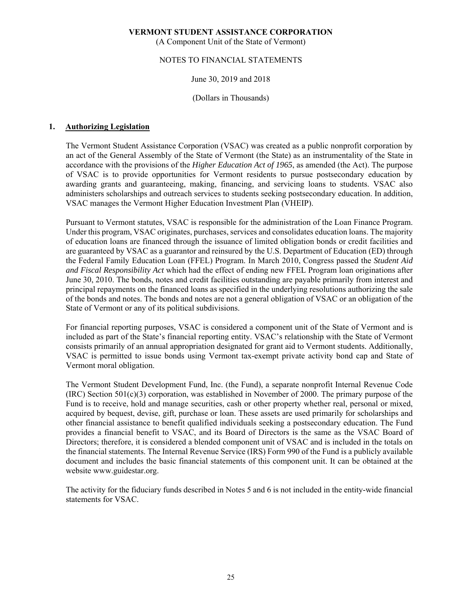(A Component Unit of the State of Vermont)

#### NOTES TO FINANCIAL STATEMENTS

#### June 30, 2019 and 2018

#### (Dollars in Thousands)

#### **1. Authorizing Legislation**

The Vermont Student Assistance Corporation (VSAC) was created as a public nonprofit corporation by an act of the General Assembly of the State of Vermont (the State) as an instrumentality of the State in accordance with the provisions of the *Higher Education Act of 1965*, as amended (the Act). The purpose of VSAC is to provide opportunities for Vermont residents to pursue postsecondary education by awarding grants and guaranteeing, making, financing, and servicing loans to students. VSAC also administers scholarships and outreach services to students seeking postsecondary education. In addition, VSAC manages the Vermont Higher Education Investment Plan (VHEIP).

Pursuant to Vermont statutes, VSAC is responsible for the administration of the Loan Finance Program. Under this program, VSAC originates, purchases, services and consolidates education loans. The majority of education loans are financed through the issuance of limited obligation bonds or credit facilities and are guaranteed by VSAC as a guarantor and reinsured by the U.S. Department of Education (ED) through the Federal Family Education Loan (FFEL) Program. In March 2010, Congress passed the *Student Aid and Fiscal Responsibility Act* which had the effect of ending new FFEL Program loan originations after June 30, 2010. The bonds, notes and credit facilities outstanding are payable primarily from interest and principal repayments on the financed loans as specified in the underlying resolutions authorizing the sale of the bonds and notes. The bonds and notes are not a general obligation of VSAC or an obligation of the State of Vermont or any of its political subdivisions.

For financial reporting purposes, VSAC is considered a component unit of the State of Vermont and is included as part of the State's financial reporting entity. VSAC's relationship with the State of Vermont consists primarily of an annual appropriation designated for grant aid to Vermont students. Additionally, VSAC is permitted to issue bonds using Vermont tax-exempt private activity bond cap and State of Vermont moral obligation.

The Vermont Student Development Fund, Inc. (the Fund), a separate nonprofit Internal Revenue Code  $(IRC)$  Section 501(c)(3) corporation, was established in November of 2000. The primary purpose of the Fund is to receive, hold and manage securities, cash or other property whether real, personal or mixed, acquired by bequest, devise, gift, purchase or loan. These assets are used primarily for scholarships and other financial assistance to benefit qualified individuals seeking a postsecondary education. The Fund provides a financial benefit to VSAC, and its Board of Directors is the same as the VSAC Board of Directors; therefore, it is considered a blended component unit of VSAC and is included in the totals on the financial statements. The Internal Revenue Service (IRS) Form 990 of the Fund is a publicly available document and includes the basic financial statements of this component unit. It can be obtained at the website www.guidestar.org.

The activity for the fiduciary funds described in Notes 5 and 6 is not included in the entity-wide financial statements for VSAC.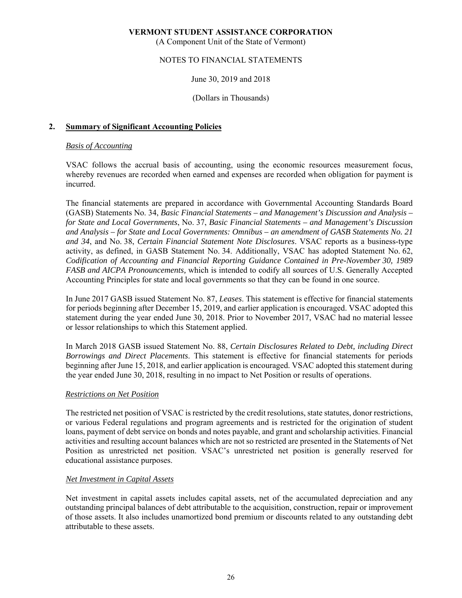(A Component Unit of the State of Vermont)

# NOTES TO FINANCIAL STATEMENTS

#### June 30, 2019 and 2018

#### (Dollars in Thousands)

#### **2. Summary of Significant Accounting Policies**

#### *Basis of Accounting*

VSAC follows the accrual basis of accounting, using the economic resources measurement focus, whereby revenues are recorded when earned and expenses are recorded when obligation for payment is incurred.

The financial statements are prepared in accordance with Governmental Accounting Standards Board (GASB) Statements No. 34, *Basic Financial Statements – and Management's Discussion and Analysis – for State and Local Governments*, No. 37, *Basic Financial Statements – and Management's Discussion and Analysis – for State and Local Governments: Omnibus – an amendment of GASB Statements No. 21 and 34*, and No. 38, *Certain Financial Statement Note Disclosures*. VSAC reports as a business-type activity, as defined, in GASB Statement No. 34. Additionally, VSAC has adopted Statement No. 62, *Codification of Accounting and Financial Reporting Guidance Contained in Pre-November 30, 1989 FASB and AICPA Pronouncements,* which is intended to codify all sources of U.S. Generally Accepted Accounting Principles for state and local governments so that they can be found in one source.

In June 2017 GASB issued Statement No. 87, *Leases*. This statement is effective for financial statements for periods beginning after December 15, 2019, and earlier application is encouraged. VSAC adopted this statement during the year ended June 30, 2018. Prior to November 2017, VSAC had no material lessee or lessor relationships to which this Statement applied.

In March 2018 GASB issued Statement No. 88, *Certain Disclosures Related to Debt, including Direct Borrowings and Direct Placements*. This statement is effective for financial statements for periods beginning after June 15, 2018, and earlier application is encouraged. VSAC adopted this statement during the year ended June 30, 2018, resulting in no impact to Net Position or results of operations.

#### *Restrictions on Net Position*

The restricted net position of VSAC is restricted by the credit resolutions, state statutes, donor restrictions, or various Federal regulations and program agreements and is restricted for the origination of student loans, payment of debt service on bonds and notes payable, and grant and scholarship activities. Financial activities and resulting account balances which are not so restricted are presented in the Statements of Net Position as unrestricted net position. VSAC's unrestricted net position is generally reserved for educational assistance purposes.

#### *Net Investment in Capital Assets*

Net investment in capital assets includes capital assets, net of the accumulated depreciation and any outstanding principal balances of debt attributable to the acquisition, construction, repair or improvement of those assets. It also includes unamortized bond premium or discounts related to any outstanding debt attributable to these assets.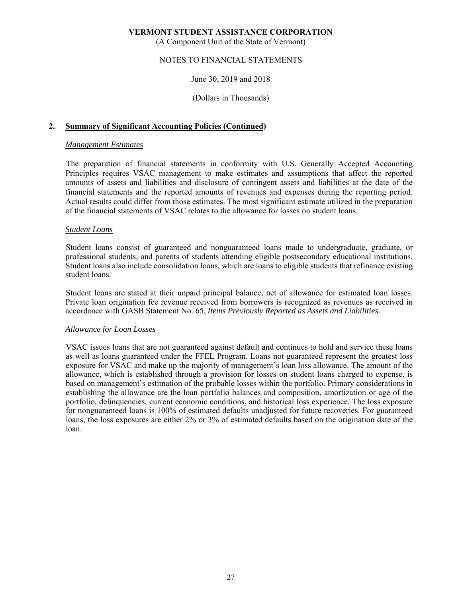(A Component Unit of the State of Vermont)

## NOTES TO FINANCIAL STATEMENTS

#### June 30, 2019 and 2018

#### (Dollars in Thousands)

#### **2. Summary of Significant Accounting Policies (Continued)**

#### *Management Estimates*

The preparation of financial statements in conformity with U.S. Generally Accepted Accounting Principles requires VSAC management to make estimates and assumptions that affect the reported amounts of assets and liabilities and disclosure of contingent assets and liabilities at the date of the financial statements and the reported amounts of revenues and expenses during the reporting period. Actual results could differ from those estimates. The most significant estimate utilized in the preparation of the financial statements of VSAC relates to the allowance for losses on student loans.

#### *Student Loans*

Student loans consist of guaranteed and nonguaranteed loans made to undergraduate, graduate, or professional students, and parents of students attending eligible postsecondary educational institutions. Student loans also include consolidation loans, which are loans to eligible students that refinance existing student loans.

Student loans are stated at their unpaid principal balance, net of allowance for estimated loan losses. Private loan origination fee revenue received from borrowers is recognized as revenues as received in accordance with GASB Statement No. 65, *Items Previously Reported as Assets and Liabilities.* 

#### *Allowance for Loan Losses*

VSAC issues loans that are not guaranteed against default and continues to hold and service these loans as well as loans guaranteed under the FFEL Program. Loans not guaranteed represent the greatest loss exposure for VSAC and make up the majority of management's loan loss allowance. The amount of the allowance, which is established through a provision for losses on student loans charged to expense, is based on management's estimation of the probable losses within the portfolio. Primary considerations in establishing the allowance are the loan portfolio balances and composition, amortization or age of the portfolio, delinquencies, current economic conditions, and historical loss experience. The loss exposure for nonguaranteed loans is 100% of estimated defaults unadjusted for future recoveries. For guaranteed loans, the loss exposures are either 2% or 3% of estimated defaults based on the origination date of the loan.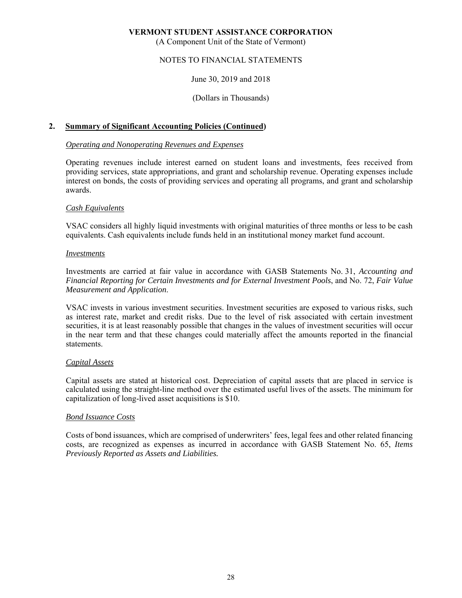(A Component Unit of the State of Vermont)

# NOTES TO FINANCIAL STATEMENTS

#### June 30, 2019 and 2018

#### (Dollars in Thousands)

#### **2. Summary of Significant Accounting Policies (Continued)**

#### *Operating and Nonoperating Revenues and Expenses*

Operating revenues include interest earned on student loans and investments, fees received from providing services, state appropriations, and grant and scholarship revenue. Operating expenses include interest on bonds, the costs of providing services and operating all programs, and grant and scholarship awards.

#### *Cash Equivalents*

VSAC considers all highly liquid investments with original maturities of three months or less to be cash equivalents. Cash equivalents include funds held in an institutional money market fund account.

#### *Investments*

Investments are carried at fair value in accordance with GASB Statements No. 31, *Accounting and Financial Reporting for Certain Investments and for External Investment Pools*, and No. 72, *Fair Value Measurement and Application*.

VSAC invests in various investment securities. Investment securities are exposed to various risks, such as interest rate, market and credit risks. Due to the level of risk associated with certain investment securities, it is at least reasonably possible that changes in the values of investment securities will occur in the near term and that these changes could materially affect the amounts reported in the financial statements.

#### *Capital Assets*

Capital assets are stated at historical cost. Depreciation of capital assets that are placed in service is calculated using the straight-line method over the estimated useful lives of the assets. The minimum for capitalization of long-lived asset acquisitions is \$10.

#### *Bond Issuance Costs*

Costs of bond issuances, which are comprised of underwriters' fees, legal fees and other related financing costs, are recognized as expenses as incurred in accordance with GASB Statement No. 65, *Items Previously Reported as Assets and Liabilities.*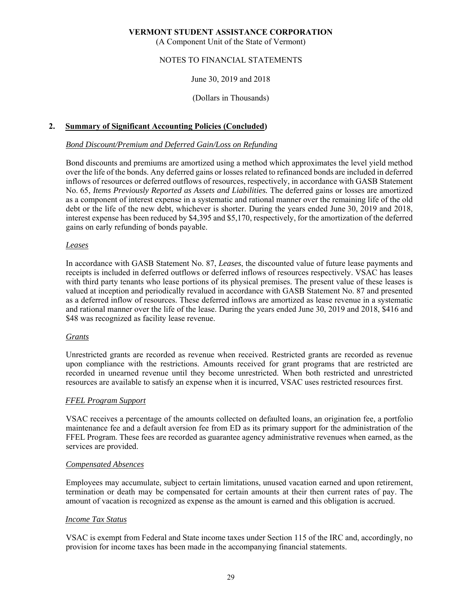(A Component Unit of the State of Vermont)

# NOTES TO FINANCIAL STATEMENTS

#### June 30, 2019 and 2018

#### (Dollars in Thousands)

#### **2. Summary of Significant Accounting Policies (Concluded)**

#### *Bond Discount/Premium and Deferred Gain/Loss on Refunding*

Bond discounts and premiums are amortized using a method which approximates the level yield method over the life of the bonds. Any deferred gains or losses related to refinanced bonds are included in deferred inflows of resources or deferred outflows of resources, respectively, in accordance with GASB Statement No. 65, *Items Previously Reported as Assets and Liabilities.* The deferred gains or losses are amortized as a component of interest expense in a systematic and rational manner over the remaining life of the old debt or the life of the new debt, whichever is shorter. During the years ended June 30, 2019 and 2018, interest expense has been reduced by \$4,395 and \$5,170, respectively, for the amortization of the deferred gains on early refunding of bonds payable.

#### *Leases*

In accordance with GASB Statement No. 87, *Leases*, the discounted value of future lease payments and receipts is included in deferred outflows or deferred inflows of resources respectively. VSAC has leases with third party tenants who lease portions of its physical premises. The present value of these leases is valued at inception and periodically revalued in accordance with GASB Statement No. 87 and presented as a deferred inflow of resources. These deferred inflows are amortized as lease revenue in a systematic and rational manner over the life of the lease. During the years ended June 30, 2019 and 2018, \$416 and \$48 was recognized as facility lease revenue.

#### *Grants*

Unrestricted grants are recorded as revenue when received. Restricted grants are recorded as revenue upon compliance with the restrictions. Amounts received for grant programs that are restricted are recorded in unearned revenue until they become unrestricted. When both restricted and unrestricted resources are available to satisfy an expense when it is incurred, VSAC uses restricted resources first.

#### *FFEL Program Support*

VSAC receives a percentage of the amounts collected on defaulted loans, an origination fee, a portfolio maintenance fee and a default aversion fee from ED as its primary support for the administration of the FFEL Program. These fees are recorded as guarantee agency administrative revenues when earned, as the services are provided.

#### *Compensated Absences*

Employees may accumulate, subject to certain limitations, unused vacation earned and upon retirement, termination or death may be compensated for certain amounts at their then current rates of pay. The amount of vacation is recognized as expense as the amount is earned and this obligation is accrued.

#### *Income Tax Status*

VSAC is exempt from Federal and State income taxes under Section 115 of the IRC and, accordingly, no provision for income taxes has been made in the accompanying financial statements.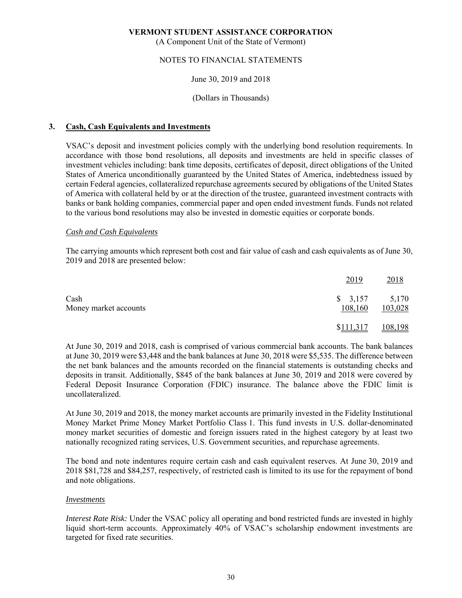(A Component Unit of the State of Vermont)

# NOTES TO FINANCIAL STATEMENTS

#### June 30, 2019 and 2018

#### (Dollars in Thousands)

#### **3. Cash, Cash Equivalents and Investments**

VSAC's deposit and investment policies comply with the underlying bond resolution requirements. In accordance with those bond resolutions, all deposits and investments are held in specific classes of investment vehicles including: bank time deposits, certificates of deposit, direct obligations of the United States of America unconditionally guaranteed by the United States of America, indebtedness issued by certain Federal agencies, collateralized repurchase agreements secured by obligations of the United States of America with collateral held by or at the direction of the trustee, guaranteed investment contracts with banks or bank holding companies, commercial paper and open ended investment funds. Funds not related to the various bond resolutions may also be invested in domestic equities or corporate bonds.

#### *Cash and Cash Equivalents*

The carrying amounts which represent both cost and fair value of cash and cash equivalents as of June 30, 2019 and 2018 are presented below:

|                               | 2019                         | 2018    |
|-------------------------------|------------------------------|---------|
| Cash<br>Money market accounts | $$3,157$ $$5,170$<br>108,160 | 103,028 |
|                               | \$111,317                    | 108,198 |

At June 30, 2019 and 2018, cash is comprised of various commercial bank accounts. The bank balances at June 30, 2019 were \$3,448 and the bank balances at June 30, 2018 were \$5,535. The difference between the net bank balances and the amounts recorded on the financial statements is outstanding checks and deposits in transit. Additionally, \$845 of the bank balances at June 30, 2019 and 2018 were covered by Federal Deposit Insurance Corporation (FDIC) insurance. The balance above the FDIC limit is uncollateralized.

At June 30, 2019 and 2018, the money market accounts are primarily invested in the Fidelity Institutional Money Market Prime Money Market Portfolio Class 1. This fund invests in U.S. dollar-denominated money market securities of domestic and foreign issuers rated in the highest category by at least two nationally recognized rating services, U.S. Government securities, and repurchase agreements.

The bond and note indentures require certain cash and cash equivalent reserves. At June 30, 2019 and 2018 \$81,728 and \$84,257, respectively, of restricted cash is limited to its use for the repayment of bond and note obligations.

#### *Investments*

*Interest Rate Risk:* Under the VSAC policy all operating and bond restricted funds are invested in highly liquid short-term accounts. Approximately 40% of VSAC's scholarship endowment investments are targeted for fixed rate securities.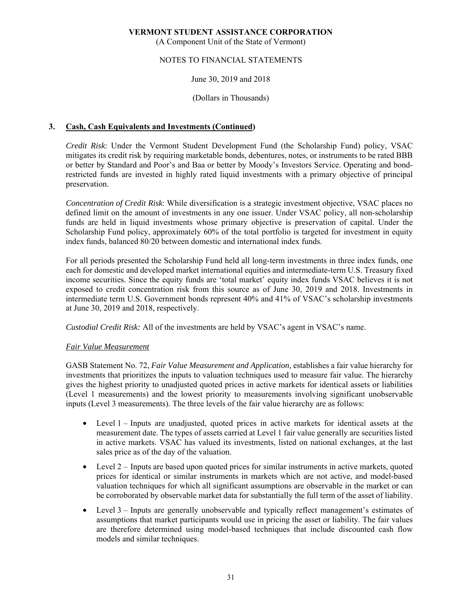(A Component Unit of the State of Vermont)

## NOTES TO FINANCIAL STATEMENTS

### June 30, 2019 and 2018

#### (Dollars in Thousands)

### **3. Cash, Cash Equivalents and Investments (Continued)**

*Credit Risk*: Under the Vermont Student Development Fund (the Scholarship Fund) policy, VSAC mitigates its credit risk by requiring marketable bonds, debentures, notes, or instruments to be rated BBB or better by Standard and Poor's and Baa or better by Moody's Investors Service. Operating and bondrestricted funds are invested in highly rated liquid investments with a primary objective of principal preservation.

*Concentration of Credit Risk*: While diversification is a strategic investment objective, VSAC places no defined limit on the amount of investments in any one issuer. Under VSAC policy, all non-scholarship funds are held in liquid investments whose primary objective is preservation of capital. Under the Scholarship Fund policy, approximately 60% of the total portfolio is targeted for investment in equity index funds, balanced 80/20 between domestic and international index funds.

For all periods presented the Scholarship Fund held all long-term investments in three index funds, one each for domestic and developed market international equities and intermediate-term U.S. Treasury fixed income securities. Since the equity funds are 'total market' equity index funds VSAC believes it is not exposed to credit concentration risk from this source as of June 30, 2019 and 2018. Investments in intermediate term U.S. Government bonds represent 40% and 41% of VSAC's scholarship investments at June 30, 2019 and 2018, respectively.

*Custodial Credit Risk:* All of the investments are held by VSAC's agent in VSAC's name.

#### *Fair Value Measurement*

GASB Statement No. 72, *Fair Value Measurement and Application,* establishes a fair value hierarchy for investments that prioritizes the inputs to valuation techniques used to measure fair value. The hierarchy gives the highest priority to unadjusted quoted prices in active markets for identical assets or liabilities (Level 1 measurements) and the lowest priority to measurements involving significant unobservable inputs (Level 3 measurements). The three levels of the fair value hierarchy are as follows:

- Level 1 Inputs are unadjusted, quoted prices in active markets for identical assets at the measurement date. The types of assets carried at Level 1 fair value generally are securities listed in active markets. VSAC has valued its investments, listed on national exchanges, at the last sales price as of the day of the valuation.
- Level  $2$  Inputs are based upon quoted prices for similar instruments in active markets, quoted prices for identical or similar instruments in markets which are not active, and model-based valuation techniques for which all significant assumptions are observable in the market or can be corroborated by observable market data for substantially the full term of the asset of liability.
- Level 3 Inputs are generally unobservable and typically reflect management's estimates of assumptions that market participants would use in pricing the asset or liability. The fair values are therefore determined using model-based techniques that include discounted cash flow models and similar techniques.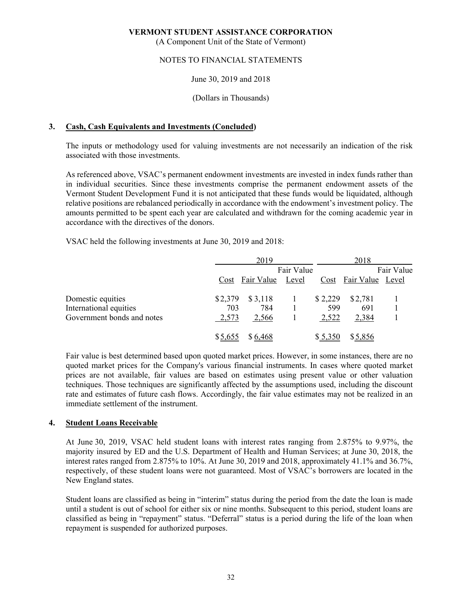(A Component Unit of the State of Vermont)

## NOTES TO FINANCIAL STATEMENTS

#### June 30, 2019 and 2018

#### (Dollars in Thousands)

#### **3. Cash, Cash Equivalents and Investments (Concluded)**

The inputs or methodology used for valuing investments are not necessarily an indication of the risk associated with those investments.

As referenced above, VSAC's permanent endowment investments are invested in index funds rather than in individual securities. Since these investments comprise the permanent endowment assets of the Vermont Student Development Fund it is not anticipated that these funds would be liquidated, although relative positions are rebalanced periodically in accordance with the endowment's investment policy. The amounts permitted to be spent each year are calculated and withdrawn for the coming academic year in accordance with the directives of the donors.

VSAC held the following investments at June 30, 2019 and 2018:

|                            |         | 2019            |            |         | 2018                  |            |
|----------------------------|---------|-----------------|------------|---------|-----------------------|------------|
|                            |         |                 | Fair Value |         |                       | Fair Value |
|                            |         | Cost Fair Value | Level      |         | Cost Fair Value Level |            |
| Domestic equities          | \$2,379 | \$3,118         |            | \$2,229 | \$2,781               |            |
| International equities     | 703     | 784             |            | 599     | 691                   |            |
| Government bonds and notes | 2,573   | 2,566           |            | 2,522   | 2,384                 |            |
|                            | \$5,655 | \$6,468         |            | \$5,350 | \$5,856               |            |

Fair value is best determined based upon quoted market prices. However, in some instances, there are no quoted market prices for the Company's various financial instruments. In cases where quoted market prices are not available, fair values are based on estimates using present value or other valuation techniques. Those techniques are significantly affected by the assumptions used, including the discount rate and estimates of future cash flows. Accordingly, the fair value estimates may not be realized in an immediate settlement of the instrument.

#### **4. Student Loans Receivable**

At June 30, 2019, VSAC held student loans with interest rates ranging from 2.875% to 9.97%, the majority insured by ED and the U.S. Department of Health and Human Services; at June 30, 2018, the interest rates ranged from 2.875% to 10%. At June 30, 2019 and 2018, approximately 41.1% and 36.7%, respectively, of these student loans were not guaranteed. Most of VSAC's borrowers are located in the New England states.

Student loans are classified as being in "interim" status during the period from the date the loan is made until a student is out of school for either six or nine months. Subsequent to this period, student loans are classified as being in "repayment" status. "Deferral" status is a period during the life of the loan when repayment is suspended for authorized purposes.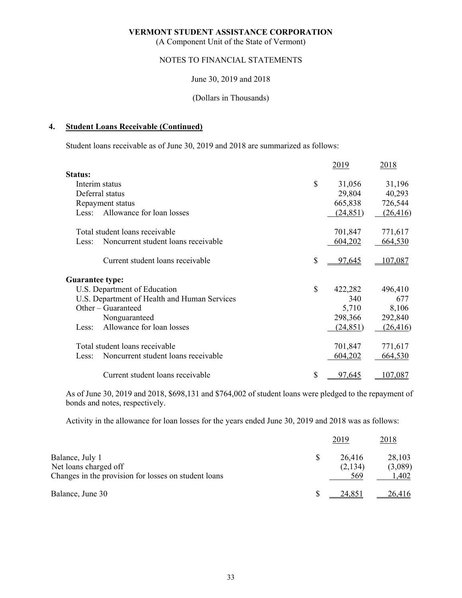(A Component Unit of the State of Vermont)

## NOTES TO FINANCIAL STATEMENTS

#### June 30, 2019 and 2018

#### (Dollars in Thousands)

#### **4. Student Loans Receivable (Continued)**

Student loans receivable as of June 30, 2019 and 2018 are summarized as follows:

|                        |                                              |              | 2019          | 2018      |
|------------------------|----------------------------------------------|--------------|---------------|-----------|
| Status:                |                                              |              |               |           |
|                        | Interim status                               | $\mathbb{S}$ | 31,056        | 31,196    |
|                        | Deferral status                              |              | 29,804        | 40,293    |
|                        | Repayment status                             |              | 665,838       | 726,544   |
| Less:                  | Allowance for loan losses                    |              | (24, 851)     | (26, 416) |
|                        | Total student loans receivable               |              | 701,847       | 771,617   |
| Less:                  | Noncurrent student loans receivable          |              | 604,202       | 664,530   |
|                        | Current student loans receivable             | \$           | <u>97,645</u> | 07,087    |
| <b>Guarantee type:</b> |                                              |              |               |           |
|                        | U.S. Department of Education                 | \$           | 422,282       | 496,410   |
|                        | U.S. Department of Health and Human Services |              | 340           | 677       |
|                        | Other – Guaranteed                           |              | 5,710         | 8,106     |
|                        | Nonguaranteed                                |              | 298,366       | 292,840   |
| Less:                  | Allowance for loan losses                    |              | (24, 851)     | (26, 416) |
|                        | Total student loans receivable               |              | 701,847       | 771,617   |
| Less:                  | Noncurrent student loans receivable          |              | 604,202       | 664,530   |
|                        | Current student loans receivable             | \$           | 97,645        | 107,087   |

As of June 30, 2019 and 2018, \$698,131 and \$764,002 of student loans were pledged to the repayment of bonds and notes, respectively.

Activity in the allowance for loan losses for the years ended June 30, 2019 and 2018 was as follows:

|                                                                                                  | 2019                     | 2018                       |
|--------------------------------------------------------------------------------------------------|--------------------------|----------------------------|
| Balance, July 1<br>Net loans charged off<br>Changes in the provision for losses on student loans | 26,416<br>(2,134)<br>569 | 28,103<br>(3,089)<br>1,402 |
| Balance, June 30                                                                                 | 24.851                   | 26,416                     |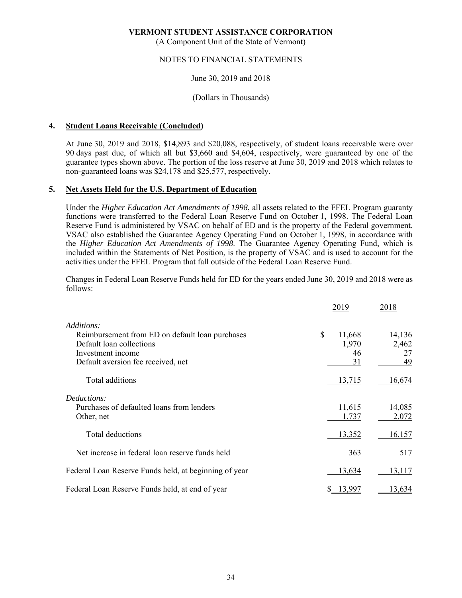(A Component Unit of the State of Vermont)

#### NOTES TO FINANCIAL STATEMENTS

#### June 30, 2019 and 2018

#### (Dollars in Thousands)

#### **4. Student Loans Receivable (Concluded)**

At June 30, 2019 and 2018, \$14,893 and \$20,088, respectively, of student loans receivable were over 90 days past due, of which all but \$3,660 and \$4,604, respectively, were guaranteed by one of the guarantee types shown above. The portion of the loss reserve at June 30, 2019 and 2018 which relates to non-guaranteed loans was \$24,178 and \$25,577, respectively.

#### **5. Net Assets Held for the U.S. Department of Education**

Under the *Higher Education Act Amendments of 1998*, all assets related to the FFEL Program guaranty functions were transferred to the Federal Loan Reserve Fund on October 1, 1998. The Federal Loan Reserve Fund is administered by VSAC on behalf of ED and is the property of the Federal government. VSAC also established the Guarantee Agency Operating Fund on October 1, 1998, in accordance with the *Higher Education Act Amendments of 1998*. The Guarantee Agency Operating Fund, which is included within the Statements of Net Position, is the property of VSAC and is used to account for the activities under the FFEL Program that fall outside of the Federal Loan Reserve Fund.

Changes in Federal Loan Reserve Funds held for ED for the years ended June 30, 2019 and 2018 were as follows:

|                                                       | 2019         | 2018   |
|-------------------------------------------------------|--------------|--------|
| Additions:                                            |              |        |
| Reimbursement from ED on default loan purchases       | \$<br>11,668 | 14,136 |
| Default loan collections                              | 1,970        | 2,462  |
| Investment income                                     | 46           | 27     |
| Default aversion fee received, net                    | 31           | 49     |
| Total additions                                       | 13,715       | 16,674 |
| Deductions:                                           |              |        |
| Purchases of defaulted loans from lenders             | 11,615       | 14,085 |
| Other, net                                            | 1,737        | 2,072  |
| Total deductions                                      | 13,352       | 16,157 |
| Net increase in federal loan reserve funds held       | 363          | 517    |
| Federal Loan Reserve Funds held, at beginning of year | 13,634       | 13,117 |
| Federal Loan Reserve Funds held, at end of year       | 13,997       | 13,634 |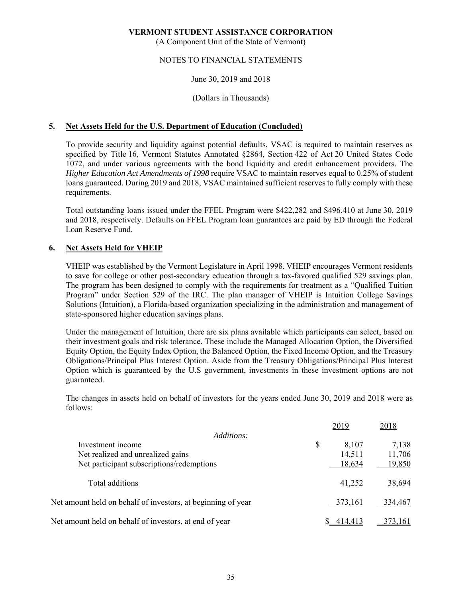(A Component Unit of the State of Vermont)

### NOTES TO FINANCIAL STATEMENTS

#### June 30, 2019 and 2018

#### (Dollars in Thousands)

#### **5. Net Assets Held for the U.S. Department of Education (Concluded)**

To provide security and liquidity against potential defaults, VSAC is required to maintain reserves as specified by Title 16, Vermont Statutes Annotated §2864, Section 422 of Act 20 United States Code 1072, and under various agreements with the bond liquidity and credit enhancement providers. The *Higher Education Act Amendments of 1998* require VSAC to maintain reserves equal to 0.25% of student loans guaranteed. During 2019 and 2018, VSAC maintained sufficient reserves to fully comply with these requirements.

Total outstanding loans issued under the FFEL Program were \$422,282 and \$496,410 at June 30, 2019 and 2018, respectively. Defaults on FFEL Program loan guarantees are paid by ED through the Federal Loan Reserve Fund.

#### **6. Net Assets Held for VHEIP**

VHEIP was established by the Vermont Legislature in April 1998. VHEIP encourages Vermont residents to save for college or other post-secondary education through a tax-favored qualified 529 savings plan. The program has been designed to comply with the requirements for treatment as a "Qualified Tuition Program" under Section 529 of the IRC. The plan manager of VHEIP is Intuition College Savings Solutions (Intuition), a Florida-based organization specializing in the administration and management of state-sponsored higher education savings plans.

Under the management of Intuition, there are six plans available which participants can select, based on their investment goals and risk tolerance. These include the Managed Allocation Option, the Diversified Equity Option, the Equity Index Option, the Balanced Option, the Fixed Income Option, and the Treasury Obligations/Principal Plus Interest Option. Aside from the Treasury Obligations/Principal Plus Interest Option which is guaranteed by the U.S government, investments in these investment options are not guaranteed.

The changes in assets held on behalf of investors for the years ended June 30, 2019 and 2018 were as follows:

|                                                              | 2019        | 2018    |
|--------------------------------------------------------------|-------------|---------|
| Additions:                                                   |             |         |
| Investment income                                            | \$<br>8,107 | 7,138   |
| Net realized and unrealized gains                            | 14,511      | 11,706  |
| Net participant subscriptions/redemptions                    | 18,634      | 19,850  |
|                                                              |             |         |
| Total additions                                              | 41,252      | 38,694  |
|                                                              |             |         |
| Net amount held on behalf of investors, at beginning of year | 373,161     | 334,467 |
|                                                              |             |         |
| Net amount held on behalf of investors, at end of year       | 414.413     | 373.161 |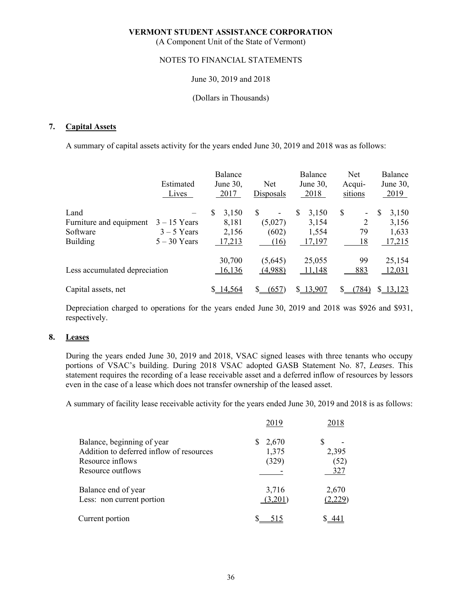(A Component Unit of the State of Vermont)

#### NOTES TO FINANCIAL STATEMENTS

#### June 30, 2019 and 2018

#### (Dollars in Thousands)

#### **7. Capital Assets**

A summary of capital assets activity for the years ended June 30, 2019 and 2018 was as follows:

|                               | Estimated<br>Lives | Balance<br>June 30,<br>2017 | Net<br>Disposals               | Balance<br>June 30,<br>2018 | <b>Net</b><br>Acqui-<br>sitions | Balance<br>June 30,<br>2019 |
|-------------------------------|--------------------|-----------------------------|--------------------------------|-----------------------------|---------------------------------|-----------------------------|
| Land                          |                    | \$<br>3,150                 | \$<br>$\overline{\phantom{a}}$ | S<br>3,150                  | \$<br>۰                         | S<br>3,150                  |
| Furniture and equipment       | $3 - 15$ Years     | 8,181                       | (5,027)                        | 3,154                       |                                 | 3,156                       |
| Software                      | $3 - 5$ Years      | 2,156                       | (602)                          | 1,554                       | 79                              | 1,633                       |
| <b>Building</b>               | $5 - 30$ Years     | 17,213                      | (16)                           | 17,197                      | 18                              | 17,215                      |
|                               |                    | 30,700                      | (5,645)                        | 25,055                      | 99                              | 25,154                      |
| Less accumulated depreciation |                    | 16,136                      | (4,988)                        | 11,148                      | 883                             | <u>12,031</u>               |
| Capital assets, net           |                    | 14.564                      | (657)                          | \$13,907                    | 784)                            | \$13,123                    |

Depreciation charged to operations for the years ended June 30, 2019 and 2018 was \$926 and \$931, respectively.

#### **8. Leases**

During the years ended June 30, 2019 and 2018, VSAC signed leases with three tenants who occupy portions of VSAC's building. During 2018 VSAC adopted GASB Statement No. 87, *Leases*. This statement requires the recording of a lease receivable asset and a deferred inflow of resources by lessors even in the case of a lease which does not transfer ownership of the leased asset.

A summary of facility lease receivable activity for the years ended June 30, 2019 and 2018 is as follows:

|                                                                                                                 | 2019                    | 2018                 |
|-----------------------------------------------------------------------------------------------------------------|-------------------------|----------------------|
| Balance, beginning of year<br>Addition to deferred inflow of resources<br>Resource inflows<br>Resource outflows | 2,670<br>1,375<br>(329) | 2,395<br>(52)<br>327 |
| Balance end of year<br>Less: non current portion                                                                | 3,716<br>(3,201)        | 2,670<br>(2,229)     |
| Current portion                                                                                                 |                         |                      |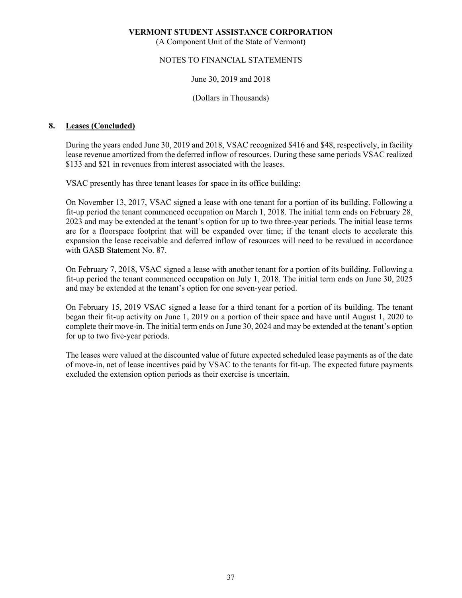(A Component Unit of the State of Vermont)

### NOTES TO FINANCIAL STATEMENTS

#### June 30, 2019 and 2018

#### (Dollars in Thousands)

#### **8. Leases (Concluded)**

During the years ended June 30, 2019 and 2018, VSAC recognized \$416 and \$48, respectively, in facility lease revenue amortized from the deferred inflow of resources. During these same periods VSAC realized \$133 and \$21 in revenues from interest associated with the leases.

VSAC presently has three tenant leases for space in its office building:

 On November 13, 2017, VSAC signed a lease with one tenant for a portion of its building. Following a fit-up period the tenant commenced occupation on March 1, 2018. The initial term ends on February 28, 2023 and may be extended at the tenant's option for up to two three-year periods. The initial lease terms are for a floorspace footprint that will be expanded over time; if the tenant elects to accelerate this expansion the lease receivable and deferred inflow of resources will need to be revalued in accordance with GASB Statement No. 87.

 On February 7, 2018, VSAC signed a lease with another tenant for a portion of its building. Following a fit-up period the tenant commenced occupation on July 1, 2018. The initial term ends on June 30, 2025 and may be extended at the tenant's option for one seven-year period.

 On February 15, 2019 VSAC signed a lease for a third tenant for a portion of its building. The tenant began their fit-up activity on June 1, 2019 on a portion of their space and have until August 1, 2020 to complete their move-in. The initial term ends on June 30, 2024 and may be extended at the tenant's option for up to two five-year periods.

 The leases were valued at the discounted value of future expected scheduled lease payments as of the date of move-in, net of lease incentives paid by VSAC to the tenants for fit-up. The expected future payments excluded the extension option periods as their exercise is uncertain.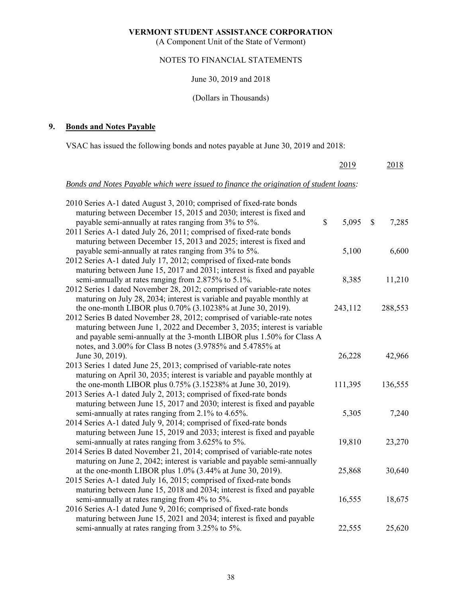(A Component Unit of the State of Vermont)

# NOTES TO FINANCIAL STATEMENTS

#### June 30, 2019 and 2018

# (Dollars in Thousands)

# **9. Bonds and Notes Payable**

VSAC has issued the following bonds and notes payable at June 30, 2019 and 2018:

|                                                                                        | 2019        | 2018        |
|----------------------------------------------------------------------------------------|-------------|-------------|
| Bonds and Notes Payable which were issued to finance the origination of student loans: |             |             |
| 2010 Series A-1 dated August 3, 2010; comprised of fixed-rate bonds                    |             |             |
| maturing between December 15, 2015 and 2030; interest is fixed and                     |             |             |
| payable semi-annually at rates ranging from 3% to 5%.                                  | \$<br>5,095 | \$<br>7,285 |
| 2011 Series A-1 dated July 26, 2011; comprised of fixed-rate bonds                     |             |             |
| maturing between December 15, 2013 and 2025; interest is fixed and                     |             |             |
| payable semi-annually at rates ranging from 3% to 5%.                                  | 5,100       | 6,600       |
| 2012 Series A-1 dated July 17, 2012; comprised of fixed-rate bonds                     |             |             |
| maturing between June 15, 2017 and 2031; interest is fixed and payable                 |             |             |
| semi-annually at rates ranging from 2.875% to 5.1%.                                    | 8,385       | 11,210      |
| 2012 Series 1 dated November 28, 2012; comprised of variable-rate notes                |             |             |
| maturing on July 28, 2034; interest is variable and payable monthly at                 |             |             |
| the one-month LIBOR plus 0.70% (3.10238% at June 30, 2019).                            | 243,112     | 288,553     |
| 2012 Series B dated November 28, 2012; comprised of variable-rate notes                |             |             |
| maturing between June 1, 2022 and December 3, 2035; interest is variable               |             |             |
| and payable semi-annually at the 3-month LIBOR plus 1.50% for Class A                  |             |             |
| notes, and 3.00% for Class B notes (3.9785% and 5.4785% at                             |             |             |
| June 30, 2019).                                                                        | 26,228      | 42,966      |
| 2013 Series 1 dated June 25, 2013; comprised of variable-rate notes                    |             |             |
| maturing on April 30, 2035; interest is variable and payable monthly at                |             |             |
| the one-month LIBOR plus 0.75% (3.15238% at June 30, 2019).                            | 111,395     | 136,555     |
| 2013 Series A-1 dated July 2, 2013; comprised of fixed-rate bonds                      |             |             |
| maturing between June 15, 2017 and 2030; interest is fixed and payable                 |             |             |
| semi-annually at rates ranging from 2.1% to 4.65%.                                     | 5,305       | 7,240       |
| 2014 Series A-1 dated July 9, 2014; comprised of fixed-rate bonds                      |             |             |
| maturing between June 15, 2019 and 2033; interest is fixed and payable                 |             |             |
| semi-annually at rates ranging from 3.625% to 5%.                                      | 19,810      | 23,270      |
| 2014 Series B dated November 21, 2014; comprised of variable-rate notes                |             |             |
| maturing on June 2, 2042; interest is variable and payable semi-annually               |             |             |
| at the one-month LIBOR plus 1.0% (3.44% at June 30, 2019).                             | 25,868      | 30,640      |
| 2015 Series A-1 dated July 16, 2015; comprised of fixed-rate bonds                     |             |             |
| maturing between June 15, 2018 and 2034; interest is fixed and payable                 |             |             |
| semi-annually at rates ranging from 4% to 5%.                                          | 16,555      | 18,675      |
| 2016 Series A-1 dated June 9, 2016; comprised of fixed-rate bonds                      |             |             |
| maturing between June 15, 2021 and 2034; interest is fixed and payable                 |             |             |
| semi-annually at rates ranging from 3.25% to 5%.                                       | 22,555      | 25,620      |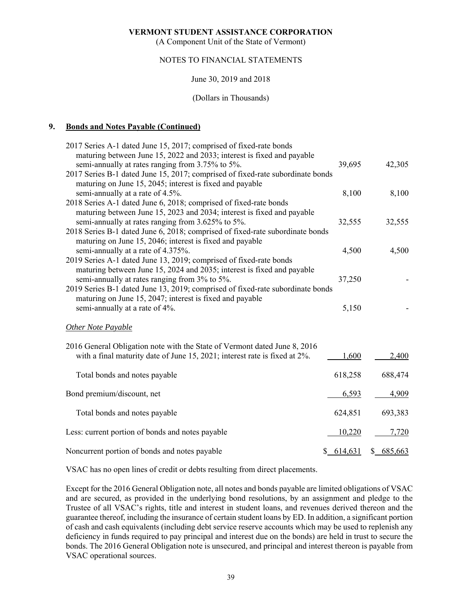(A Component Unit of the State of Vermont)

### NOTES TO FINANCIAL STATEMENTS

#### June 30, 2019 and 2018

#### (Dollars in Thousands)

### **9. Bonds and Notes Payable (Continued)**

| 2017 Series A-1 dated June 15, 2017; comprised of fixed-rate bonds                                                                 |           |           |
|------------------------------------------------------------------------------------------------------------------------------------|-----------|-----------|
| maturing between June 15, 2022 and 2033; interest is fixed and payable                                                             |           |           |
| semi-annually at rates ranging from 3.75% to 5%.<br>2017 Series B-1 dated June 15, 2017; comprised of fixed-rate subordinate bonds | 39,695    | 42,305    |
| maturing on June 15, 2045; interest is fixed and payable                                                                           |           |           |
| semi-annually at a rate of 4.5%.                                                                                                   | 8,100     | 8,100     |
| 2018 Series A-1 dated June 6, 2018; comprised of fixed-rate bonds                                                                  |           |           |
| maturing between June 15, 2023 and 2034; interest is fixed and payable                                                             |           |           |
| semi-annually at rates ranging from 3.625% to 5%.                                                                                  | 32,555    | 32,555    |
| 2018 Series B-1 dated June 6, 2018; comprised of fixed-rate subordinate bonds                                                      |           |           |
| maturing on June 15, 2046; interest is fixed and payable                                                                           |           |           |
| semi-annually at a rate of 4.375%.                                                                                                 | 4,500     | 4,500     |
| 2019 Series A-1 dated June 13, 2019; comprised of fixed-rate bonds                                                                 |           |           |
| maturing between June 15, 2024 and 2035; interest is fixed and payable                                                             |           |           |
| semi-annually at rates ranging from 3% to 5%.                                                                                      | 37,250    |           |
| 2019 Series B-1 dated June 13, 2019; comprised of fixed-rate subordinate bonds                                                     |           |           |
| maturing on June 15, 2047; interest is fixed and payable                                                                           |           |           |
| semi-annually at a rate of 4%.                                                                                                     | 5,150     |           |
| <b>Other Note Payable</b>                                                                                                          |           |           |
| 2016 General Obligation note with the State of Vermont dated June 8, 2016                                                          |           |           |
| with a final maturity date of June 15, 2021; interest rate is fixed at 2%.                                                         | 1,600     | 2,400     |
|                                                                                                                                    |           |           |
| Total bonds and notes payable                                                                                                      | 618,258   | 688,474   |
|                                                                                                                                    |           |           |
| Bond premium/discount, net                                                                                                         | 6,593     | 4,909     |
|                                                                                                                                    |           |           |
| Total bonds and notes payable                                                                                                      | 624,851   | 693,383   |
| Less: current portion of bonds and notes payable                                                                                   | 10,220    | 7,720     |
| Noncurrent portion of bonds and notes payable                                                                                      | \$614,631 | \$685,663 |
|                                                                                                                                    |           |           |

VSAC has no open lines of credit or debts resulting from direct placements.

Except for the 2016 General Obligation note, all notes and bonds payable are limited obligations of VSAC and are secured, as provided in the underlying bond resolutions, by an assignment and pledge to the Trustee of all VSAC's rights, title and interest in student loans, and revenues derived thereon and the guarantee thereof, including the insurance of certain student loans by ED. In addition, a significant portion of cash and cash equivalents (including debt service reserve accounts which may be used to replenish any deficiency in funds required to pay principal and interest due on the bonds) are held in trust to secure the bonds. The 2016 General Obligation note is unsecured, and principal and interest thereon is payable from VSAC operational sources.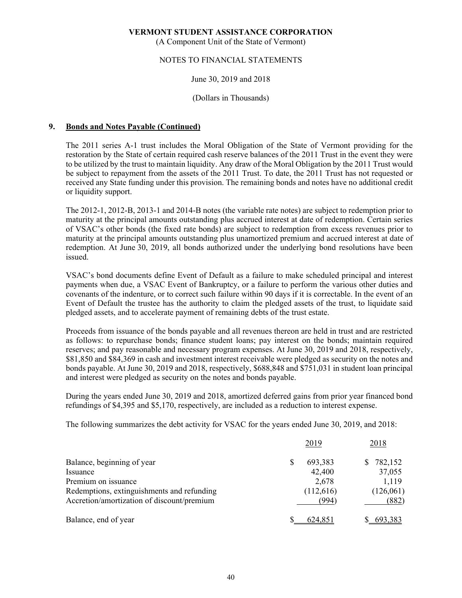(A Component Unit of the State of Vermont)

### NOTES TO FINANCIAL STATEMENTS

#### June 30, 2019 and 2018

#### (Dollars in Thousands)

#### **9. Bonds and Notes Payable (Continued)**

The 2011 series A-1 trust includes the Moral Obligation of the State of Vermont providing for the restoration by the State of certain required cash reserve balances of the 2011 Trust in the event they were to be utilized by the trust to maintain liquidity. Any draw of the Moral Obligation by the 2011 Trust would be subject to repayment from the assets of the 2011 Trust. To date, the 2011 Trust has not requested or received any State funding under this provision. The remaining bonds and notes have no additional credit or liquidity support.

The 2012-1, 2012-B, 2013-1 and 2014-B notes (the variable rate notes) are subject to redemption prior to maturity at the principal amounts outstanding plus accrued interest at date of redemption. Certain series of VSAC's other bonds (the fixed rate bonds) are subject to redemption from excess revenues prior to maturity at the principal amounts outstanding plus unamortized premium and accrued interest at date of redemption. At June 30, 2019, all bonds authorized under the underlying bond resolutions have been issued.

VSAC's bond documents define Event of Default as a failure to make scheduled principal and interest payments when due, a VSAC Event of Bankruptcy, or a failure to perform the various other duties and covenants of the indenture, or to correct such failure within 90 days if it is correctable. In the event of an Event of Default the trustee has the authority to claim the pledged assets of the trust, to liquidate said pledged assets, and to accelerate payment of remaining debts of the trust estate.

Proceeds from issuance of the bonds payable and all revenues thereon are held in trust and are restricted as follows: to repurchase bonds; finance student loans; pay interest on the bonds; maintain required reserves; and pay reasonable and necessary program expenses. At June 30, 2019 and 2018, respectively, \$81,850 and \$84,369 in cash and investment interest receivable were pledged as security on the notes and bonds payable. At June 30, 2019 and 2018, respectively, \$688,848 and \$751,031 in student loan principal and interest were pledged as security on the notes and bonds payable.

During the years ended June 30, 2019 and 2018, amortized deferred gains from prior year financed bond refundings of \$4,395 and \$5,170, respectively, are included as a reduction to interest expense.

The following summarizes the debt activity for VSAC for the years ended June 30, 2019, and 2018:

|                                            | 2019    | 2018                   |       |
|--------------------------------------------|---------|------------------------|-------|
| Balance, beginning of year                 |         | 693,383<br>782,152     |       |
| Issuance                                   |         | 37,055<br>42,400       |       |
| Premium on issuance                        |         | 2,678<br>1,119         |       |
| Redemptions, extinguishments and refunding |         | (126,061)<br>(112,616) |       |
| Accretion/amortization of discount/premium |         | (994)                  | (882) |
| Balance, end of year                       | 624,851 | 693,383                |       |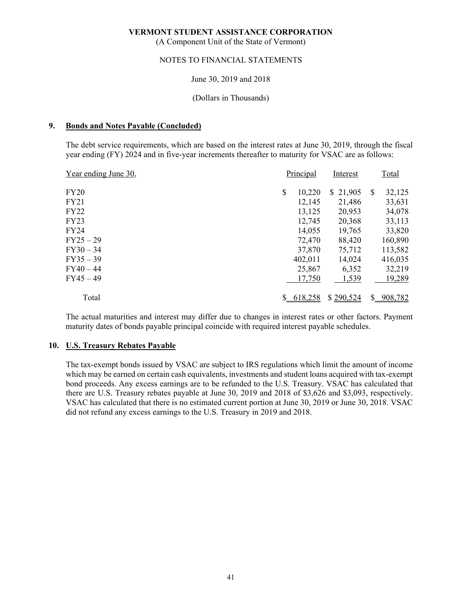(A Component Unit of the State of Vermont)

#### NOTES TO FINANCIAL STATEMENTS

#### June 30, 2019 and 2018

#### (Dollars in Thousands)

#### **9. Bonds and Notes Payable (Concluded)**

The debt service requirements, which are based on the interest rates at June 30, 2019, through the fiscal year ending (FY) 2024 and in five-year increments thereafter to maturity for VSAC are as follows:

| Year ending June 30, | Principal    | Interest  |               | Total   |
|----------------------|--------------|-----------|---------------|---------|
| <b>FY20</b>          | \$<br>10,220 | \$21,905  | S             | 32,125  |
| FY21                 | 12,145       | 21,486    |               | 33,631  |
| FY22                 | 13,125       | 20,953    |               | 34,078  |
| FY23                 | 12,745       | 20,368    |               | 33,113  |
| FY24                 | 14,055       | 19,765    |               | 33,820  |
| FY25 – 29            | 72,470       | 88,420    |               | 160,890 |
| FY30 – 34            | 37,870       | 75,712    |               | 113,582 |
| $FY35 - 39$          | 402,011      | 14,024    |               | 416,035 |
| FY40 – 44            | 25,867       | 6,352     |               | 32,219  |
| FY45 – 49            | 17,750       | 1,539     |               | 19,289  |
| Total                | 618,258      | \$290,524 | $\mathcal{S}$ | 908,782 |

The actual maturities and interest may differ due to changes in interest rates or other factors. Payment maturity dates of bonds payable principal coincide with required interest payable schedules.

#### **10. U.S. Treasury Rebates Payable**

The tax-exempt bonds issued by VSAC are subject to IRS regulations which limit the amount of income which may be earned on certain cash equivalents, investments and student loans acquired with tax-exempt bond proceeds. Any excess earnings are to be refunded to the U.S. Treasury. VSAC has calculated that there are U.S. Treasury rebates payable at June 30, 2019 and 2018 of \$3,626 and \$3,093, respectively. VSAC has calculated that there is no estimated current portion at June 30, 2019 or June 30, 2018. VSAC did not refund any excess earnings to the U.S. Treasury in 2019 and 2018.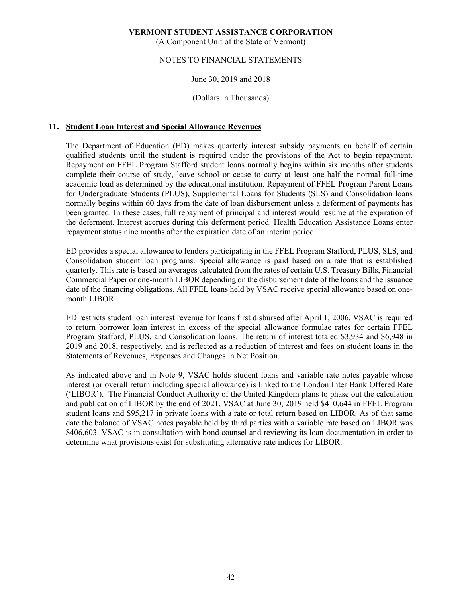(A Component Unit of the State of Vermont)

### NOTES TO FINANCIAL STATEMENTS

#### June 30, 2019 and 2018

(Dollars in Thousands)

#### **11. Student Loan Interest and Special Allowance Revenues**

The Department of Education (ED) makes quarterly interest subsidy payments on behalf of certain qualified students until the student is required under the provisions of the Act to begin repayment. Repayment on FFEL Program Stafford student loans normally begins within six months after students complete their course of study, leave school or cease to carry at least one-half the normal full-time academic load as determined by the educational institution. Repayment of FFEL Program Parent Loans for Undergraduate Students (PLUS), Supplemental Loans for Students (SLS) and Consolidation loans normally begins within 60 days from the date of loan disbursement unless a deferment of payments has been granted. In these cases, full repayment of principal and interest would resume at the expiration of the deferment. Interest accrues during this deferment period. Health Education Assistance Loans enter repayment status nine months after the expiration date of an interim period.

ED provides a special allowance to lenders participating in the FFEL Program Stafford, PLUS, SLS, and Consolidation student loan programs. Special allowance is paid based on a rate that is established quarterly. This rate is based on averages calculated from the rates of certain U.S. Treasury Bills, Financial Commercial Paper or one-month LIBOR depending on the disbursement date of the loans and the issuance date of the financing obligations. All FFEL loans held by VSAC receive special allowance based on onemonth LIBOR.

ED restricts student loan interest revenue for loans first disbursed after April 1, 2006. VSAC is required to return borrower loan interest in excess of the special allowance formulae rates for certain FFEL Program Stafford, PLUS, and Consolidation loans. The return of interest totaled \$3,934 and \$6,948 in 2019 and 2018, respectively, and is reflected as a reduction of interest and fees on student loans in the Statements of Revenues, Expenses and Changes in Net Position.

As indicated above and in Note 9, VSAC holds student loans and variable rate notes payable whose interest (or overall return including special allowance) is linked to the London Inter Bank Offered Rate ('LIBOR'). The Financial Conduct Authority of the United Kingdom plans to phase out the calculation and publication of LIBOR by the end of 2021. VSAC at June 30, 2019 held \$410,644 in FFEL Program student loans and \$95,217 in private loans with a rate or total return based on LIBOR. As of that same date the balance of VSAC notes payable held by third parties with a variable rate based on LIBOR was \$406,603. VSAC is in consultation with bond counsel and reviewing its loan documentation in order to determine what provisions exist for substituting alternative rate indices for LIBOR.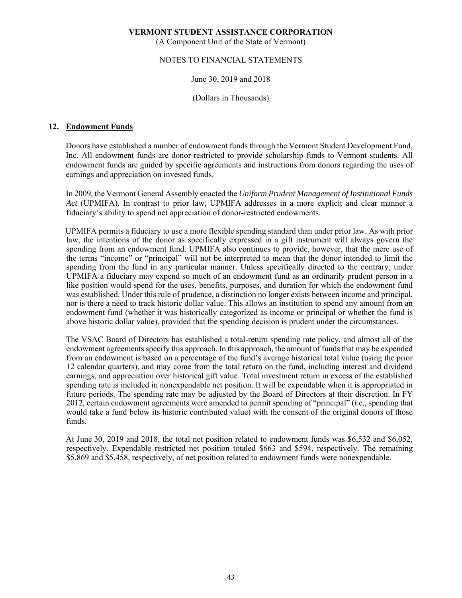(A Component Unit of the State of Vermont)

#### NOTES TO FINANCIAL STATEMENTS

#### June 30, 2019 and 2018

(Dollars in Thousands)

#### **12. Endowment Funds**

Donors have established a number of endowment funds through the Vermont Student Development Fund, Inc. All endowment funds are donor-restricted to provide scholarship funds to Vermont students. All endowment funds are guided by specific agreements and instructions from donors regarding the uses of earnings and appreciation on invested funds.

In 2009, the Vermont General Assembly enacted the *Uniform Prudent Management of Institutional Funds Act* (UPMIFA). In contrast to prior law, UPMIFA addresses in a more explicit and clear manner a fiduciary's ability to spend net appreciation of donor-restricted endowments.

UPMIFA permits a fiduciary to use a more flexible spending standard than under prior law. As with prior law, the intentions of the donor as specifically expressed in a gift instrument will always govern the spending from an endowment fund. UPMIFA also continues to provide, however, that the mere use of the terms "income" or "principal" will not be interpreted to mean that the donor intended to limit the spending from the fund in any particular manner. Unless specifically directed to the contrary, under UPMIFA a fiduciary may expend so much of an endowment fund as an ordinarily prudent person in a like position would spend for the uses, benefits, purposes, and duration for which the endowment fund was established. Under this rule of prudence, a distinction no longer exists between income and principal, nor is there a need to track historic dollar value. This allows an institution to spend any amount from an endowment fund (whether it was historically categorized as income or principal or whether the fund is above historic dollar value), provided that the spending decision is prudent under the circumstances.

The VSAC Board of Directors has established a total-return spending rate policy, and almost all of the endowment agreements specify this approach. In this approach, the amount of funds that may be expended from an endowment is based on a percentage of the fund's average historical total value (using the prior 12 calendar quarters), and may come from the total return on the fund, including interest and dividend earnings, and appreciation over historical gift value. Total investment return in excess of the established spending rate is included in nonexpendable net position. It will be expendable when it is appropriated in future periods. The spending rate may be adjusted by the Board of Directors at their discretion. In FY 2012, certain endowment agreements were amended to permit spending of "principal" (i.e., spending that would take a fund below its historic contributed value) with the consent of the original donors of those funds.

At June 30, 2019 and 2018, the total net position related to endowment funds was \$6,532 and \$6,052, respectively. Expendable restricted net position totaled \$663 and \$594, respectively. The remaining \$5,869 and \$5,458, respectively, of net position related to endowment funds were nonexpendable.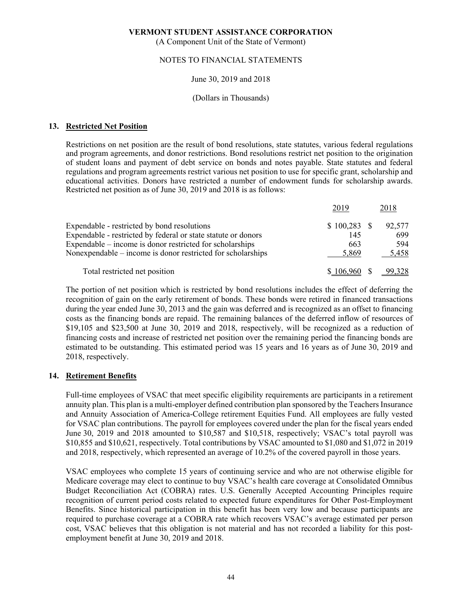(A Component Unit of the State of Vermont)

#### NOTES TO FINANCIAL STATEMENTS

#### June 30, 2019 and 2018

#### (Dollars in Thousands)

#### **13. Restricted Net Position**

Restrictions on net position are the result of bond resolutions, state statutes, various federal regulations and program agreements, and donor restrictions. Bond resolutions restrict net position to the origination of student loans and payment of debt service on bonds and notes payable. State statutes and federal regulations and program agreements restrict various net position to use for specific grant, scholarship and educational activities. Donors have restricted a number of endowment funds for scholarship awards. Restricted net position as of June 30, 2019 and 2018 is as follows:

|                                                               | 2019          | 2018   |
|---------------------------------------------------------------|---------------|--------|
| Expendable - restricted by bond resolutions                   |               | 92,577 |
| Expendable - restricted by federal or state statute or donors | 145           | 699    |
| Expendable – income is donor restricted for scholarships      | 663           | 594    |
| Nonexpendable – income is donor restricted for scholarships   | 5.869         | 5,458  |
| Total restricted net position                                 | $$106,960$ \$ | 99,328 |

The portion of net position which is restricted by bond resolutions includes the effect of deferring the recognition of gain on the early retirement of bonds. These bonds were retired in financed transactions during the year ended June 30, 2013 and the gain was deferred and is recognized as an offset to financing costs as the financing bonds are repaid. The remaining balances of the deferred inflow of resources of \$19,105 and \$23,500 at June 30, 2019 and 2018, respectively, will be recognized as a reduction of financing costs and increase of restricted net position over the remaining period the financing bonds are estimated to be outstanding. This estimated period was 15 years and 16 years as of June 30, 2019 and 2018, respectively.

#### **14. Retirement Benefits**

Full-time employees of VSAC that meet specific eligibility requirements are participants in a retirement annuity plan. This plan is a multi-employer defined contribution plan sponsored by the Teachers Insurance and Annuity Association of America-College retirement Equities Fund. All employees are fully vested for VSAC plan contributions. The payroll for employees covered under the plan for the fiscal years ended June 30, 2019 and 2018 amounted to \$10,587 and \$10,518, respectively; VSAC's total payroll was \$10,855 and \$10,621, respectively. Total contributions by VSAC amounted to \$1,080 and \$1,072 in 2019 and 2018, respectively, which represented an average of 10.2% of the covered payroll in those years.

VSAC employees who complete 15 years of continuing service and who are not otherwise eligible for Medicare coverage may elect to continue to buy VSAC's health care coverage at Consolidated Omnibus Budget Reconciliation Act (COBRA) rates. U.S. Generally Accepted Accounting Principles require recognition of current period costs related to expected future expenditures for Other Post-Employment Benefits. Since historical participation in this benefit has been very low and because participants are required to purchase coverage at a COBRA rate which recovers VSAC's average estimated per person cost, VSAC believes that this obligation is not material and has not recorded a liability for this postemployment benefit at June 30, 2019 and 2018.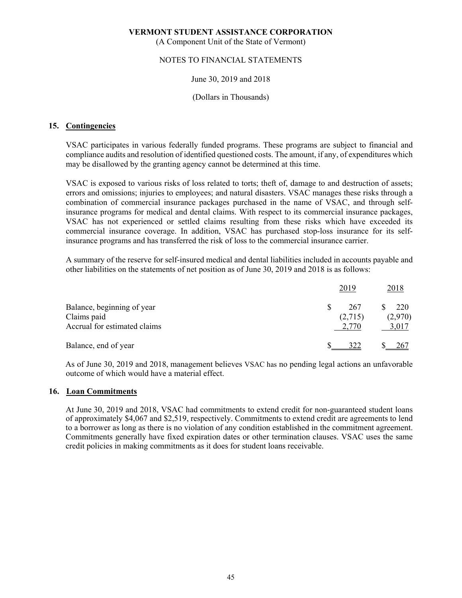(A Component Unit of the State of Vermont)

## NOTES TO FINANCIAL STATEMENTS

#### June 30, 2019 and 2018

#### (Dollars in Thousands)

#### **15. Contingencies**

VSAC participates in various federally funded programs. These programs are subject to financial and compliance audits and resolution of identified questioned costs. The amount, if any, of expenditures which may be disallowed by the granting agency cannot be determined at this time.

VSAC is exposed to various risks of loss related to torts; theft of, damage to and destruction of assets; errors and omissions; injuries to employees; and natural disasters. VSAC manages these risks through a combination of commercial insurance packages purchased in the name of VSAC, and through selfinsurance programs for medical and dental claims. With respect to its commercial insurance packages, VSAC has not experienced or settled claims resulting from these risks which have exceeded its commercial insurance coverage. In addition, VSAC has purchased stop-loss insurance for its selfinsurance programs and has transferred the risk of loss to the commercial insurance carrier.

A summary of the reserve for self-insured medical and dental liabilities included in accounts payable and other liabilities on the statements of net position as of June 30, 2019 and 2018 is as follows:

|                                           | 2019           | 2018           |
|-------------------------------------------|----------------|----------------|
| Balance, beginning of year<br>Claims paid | 267<br>(2,715) | 220<br>(2,970) |
| Accrual for estimated claims              | 2,770          | 3,017          |
| Balance, end of year                      | 322            | <u>267</u>     |

As of June 30, 2019 and 2018, management believes VSAC has no pending legal actions an unfavorable outcome of which would have a material effect.

#### **16. Loan Commitments**

At June 30, 2019 and 2018, VSAC had commitments to extend credit for non-guaranteed student loans of approximately \$4,067 and \$2,519, respectively. Commitments to extend credit are agreements to lend to a borrower as long as there is no violation of any condition established in the commitment agreement. Commitments generally have fixed expiration dates or other termination clauses. VSAC uses the same credit policies in making commitments as it does for student loans receivable.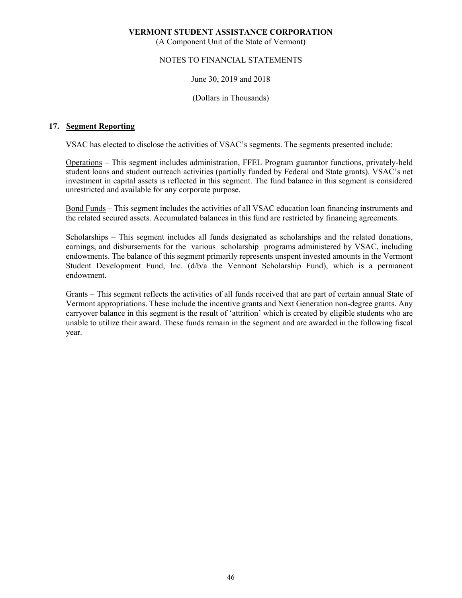(A Component Unit of the State of Vermont)

### NOTES TO FINANCIAL STATEMENTS

#### June 30, 2019 and 2018

(Dollars in Thousands)

#### **17. Segment Reporting**

VSAC has elected to disclose the activities of VSAC's segments. The segments presented include:

Operations – This segment includes administration, FFEL Program guarantor functions, privately-held student loans and student outreach activities (partially funded by Federal and State grants). VSAC's net investment in capital assets is reflected in this segment. The fund balance in this segment is considered unrestricted and available for any corporate purpose.

Bond Funds – This segment includes the activities of all VSAC education loan financing instruments and the related secured assets. Accumulated balances in this fund are restricted by financing agreements.

Scholarships – This segment includes all funds designated as scholarships and the related donations, earnings, and disbursements for the various scholarship programs administered by VSAC, including endowments. The balance of this segment primarily represents unspent invested amounts in the Vermont Student Development Fund, Inc. (d/b/a the Vermont Scholarship Fund), which is a permanent endowment.

Grants – This segment reflects the activities of all funds received that are part of certain annual State of Vermont appropriations. These include the incentive grants and Next Generation non-degree grants. Any carryover balance in this segment is the result of 'attrition' which is created by eligible students who are unable to utilize their award. These funds remain in the segment and are awarded in the following fiscal year.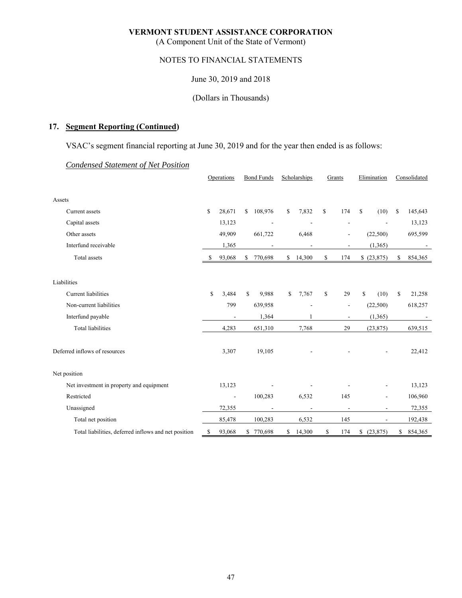(A Component Unit of the State of Vermont)

# NOTES TO FINANCIAL STATEMENTS

June 30, 2019 and 2018

(Dollars in Thousands)

# **17. Segment Reporting (Continued)**

VSAC's segment financial reporting at June 30, 2019 and for the year then ended is as follows:

|--|

|                                                      | Operations |                          | <b>Bond Funds</b> |                | Scholarships |                          | Grants        |                          | Elimination |                          | Consolidated |         |
|------------------------------------------------------|------------|--------------------------|-------------------|----------------|--------------|--------------------------|---------------|--------------------------|-------------|--------------------------|--------------|---------|
| Assets                                               |            |                          |                   |                |              |                          |               |                          |             |                          |              |         |
| Current assets                                       | \$         | 28,671                   | \$                | 108,976        | \$           | 7,832                    | <sup>\$</sup> | 174                      | \$          | (10)                     | \$           | 145,643 |
| Capital assets                                       |            | 13,123                   |                   | $\overline{a}$ |              |                          |               | $\overline{\phantom{a}}$ |             |                          |              | 13,123  |
| Other assets                                         |            | 49,909                   |                   | 661,722        |              | 6,468                    |               |                          |             | (22,500)                 |              | 695,599 |
| Interfund receivable                                 |            | 1,365                    |                   |                |              |                          |               | ٠                        |             | (1, 365)                 |              | $\sim$  |
| Total assets                                         | S          | 93,068                   | \$                | 770,698        | S            | 14,300                   | \$            | 174                      |             | \$(23,875)               | \$           | 854,365 |
| Liabilities                                          |            |                          |                   |                |              |                          |               |                          |             |                          |              |         |
| <b>Current</b> liabilities                           | \$         | 3,484                    | \$                | 9,988          | \$           | 7,767                    | \$            | 29                       | \$          | (10)                     | \$           | 21,258  |
| Non-current liabilities                              |            | 799                      |                   | 639,958        |              |                          |               | ÷                        |             | (22,500)                 |              | 618,257 |
| Interfund payable                                    |            | $\overline{a}$           |                   | 1,364          |              |                          |               | $\overline{\phantom{a}}$ |             | (1, 365)                 |              | $\sim$  |
| <b>Total liabilities</b>                             |            | 4,283                    |                   | 651,310        |              | 7,768                    |               | 29                       |             | (23, 875)                |              | 639,515 |
| Deferred inflows of resources                        |            | 3,307                    |                   | 19,105         |              |                          |               |                          |             |                          |              | 22,412  |
| Net position                                         |            |                          |                   |                |              |                          |               |                          |             |                          |              |         |
| Net investment in property and equipment             |            | 13,123                   |                   |                |              |                          |               |                          |             |                          |              | 13,123  |
| Restricted                                           |            | $\overline{\phantom{a}}$ |                   | 100,283        |              | 6,532                    |               | 145                      |             | $\overline{a}$           |              | 106,960 |
| Unassigned                                           |            | 72,355                   |                   |                |              | $\overline{\phantom{a}}$ |               | $\overline{\phantom{a}}$ |             | $\overline{\phantom{a}}$ |              | 72,355  |
| Total net position                                   |            | 85,478                   |                   | 100,283        |              | 6,532                    |               | 145                      |             | $\overline{\phantom{a}}$ |              | 192,438 |
| Total liabilities, deferred inflows and net position | \$         | 93,068                   | \$                | 770,698        | \$           | 14,300                   | \$            | 174                      | \$          | (23, 875)                | \$           | 854,365 |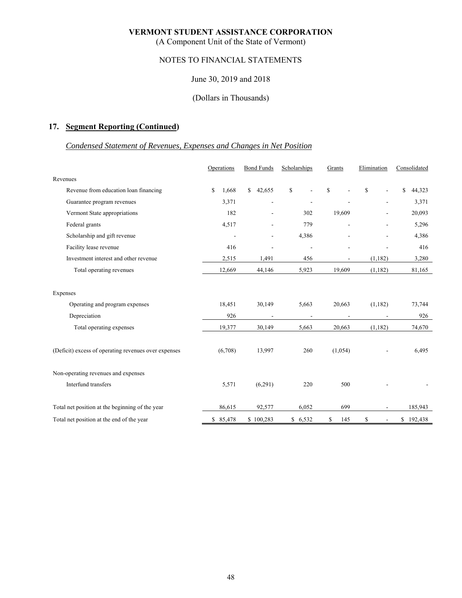(A Component Unit of the State of Vermont)

# NOTES TO FINANCIAL STATEMENTS

#### June 30, 2019 and 2018

#### (Dollars in Thousands)

# **17. Segment Reporting (Continued)**

# *Condensed Statement of Revenues, Expenses and Changes in Net Position*

|                                                      | Operations               | <b>Bond Funds</b>        | Scholarships             | Grants                   | Elimination              | Consolidated          |  |
|------------------------------------------------------|--------------------------|--------------------------|--------------------------|--------------------------|--------------------------|-----------------------|--|
| Revenues                                             |                          |                          |                          |                          |                          |                       |  |
| Revenue from education loan financing                | \$<br>1,668              | $\mathbb{S}$<br>42,655   | \$                       | \$                       | $\mathbf S$              | $\mathbf S$<br>44,323 |  |
| Guarantee program revenues                           | 3,371                    | ÷                        |                          |                          | $\overline{\phantom{a}}$ | 3,371                 |  |
| Vermont State appropriations                         | 182                      | ÷                        | 302                      | 19,609                   |                          | 20,093                |  |
| Federal grants                                       | 4,517                    |                          | 779                      |                          |                          | 5,296                 |  |
| Scholarship and gift revenue                         | $\overline{\phantom{a}}$ | ÷                        | 4,386                    |                          |                          | 4,386                 |  |
| Facility lease revenue                               | 416                      | ٠                        | $\overline{\phantom{a}}$ | $\overline{\phantom{a}}$ | ÷                        | 416                   |  |
| Investment interest and other revenue                | 2,515                    | 1,491                    | 456                      |                          | (1, 182)                 | 3,280                 |  |
| Total operating revenues                             | 12,669                   | 44,146                   | 5,923                    | 19,609                   | (1,182)                  | 81,165                |  |
| Expenses                                             |                          |                          |                          |                          |                          |                       |  |
| Operating and program expenses                       | 18,451                   | 30,149                   | 5,663                    | 20,663                   | (1,182)                  | 73,744                |  |
| Depreciation                                         | 926                      | $\overline{\phantom{a}}$ | $\overline{\phantom{a}}$ | $\overline{\phantom{a}}$ |                          | 926                   |  |
| Total operating expenses                             | 19,377                   | 30,149                   | 5,663                    | 20,663                   | (1,182)                  | 74,670                |  |
| (Deficit) excess of operating revenues over expenses | (6,708)                  | 13,997                   | 260                      | (1,054)                  |                          | 6,495                 |  |
| Non-operating revenues and expenses                  |                          |                          |                          |                          |                          |                       |  |
| Interfund transfers                                  | 5,571                    | (6,291)                  | 220                      | 500                      |                          |                       |  |
| Total net position at the beginning of the year      | 86,615                   | 92,577                   | 6,052                    | 699                      | $\overline{\phantom{a}}$ | 185,943               |  |
| Total net position at the end of the year            | \$<br>85,478             | \$100,283                | \$6,532                  | \$<br>145                | \$                       | \$192,438             |  |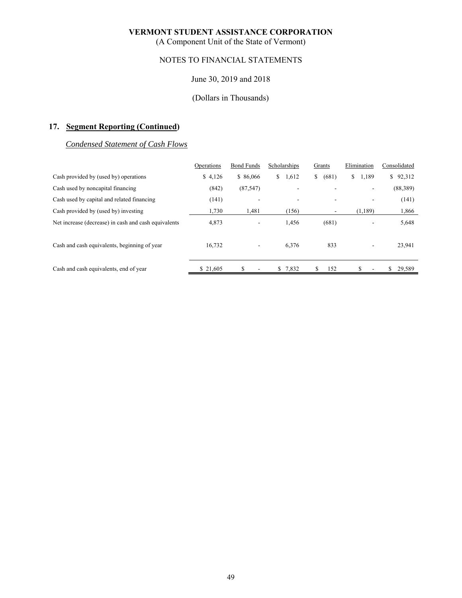(A Component Unit of the State of Vermont)

# NOTES TO FINANCIAL STATEMENTS

#### June 30, 2019 and 2018

# (Dollars in Thousands)

# **17. Segment Reporting (Continued)**

#### *Condensed Statement of Cash Flows*

|                                                      | Operations | <b>Bond Funds</b> | Scholarships | Grants      | Elimination | Consolidated |
|------------------------------------------------------|------------|-------------------|--------------|-------------|-------------|--------------|
| Cash provided by (used by) operations                | \$4,126    | \$86,066          | 1,612<br>S.  | (681)<br>\$ | \$<br>1,189 | 92,312<br>\$ |
| Cash used by noncapital financing                    | (842)      | (87, 547)         |              |             | ٠           | (88,389)     |
| Cash used by capital and related financing           | (141)      | ۰                 | ۰            |             | ۰           | (141)        |
| Cash provided by (used by) investing                 | 1,730      | 1,481             | (156)        | ۰.          | (1, 189)    | 1,866        |
| Net increase (decrease) in cash and cash equivalents | 4,873      | ۰.                | 1,456        | (681)       |             | 5,648        |
| Cash and cash equivalents, beginning of year         | 16,732     |                   | 6,376        | 833         | ۰           | 23,941       |
| Cash and cash equivalents, end of year               | \$21,605   | \$                | \$7,832      | 152         |             | 29,589<br>S  |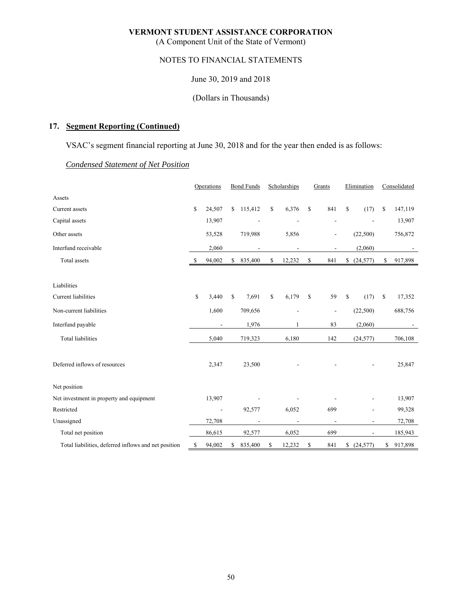(A Component Unit of the State of Vermont)

# NOTES TO FINANCIAL STATEMENTS

June 30, 2019 and 2018

(Dollars in Thousands)

# **17. Segment Reporting (Continued)**

VSAC's segment financial reporting at June 30, 2018 and for the year then ended is as follows:

# *Condensed Statement of Net Position*

|                                                      | Operations |                | <b>Bond Funds</b> |                          | Scholarships |                              | Grants |                          | Elimination |                          | Consolidated |                          |
|------------------------------------------------------|------------|----------------|-------------------|--------------------------|--------------|------------------------------|--------|--------------------------|-------------|--------------------------|--------------|--------------------------|
| Assets                                               |            |                |                   |                          |              |                              |        |                          |             |                          |              |                          |
| Current assets                                       | \$         | 24,507         | \$                | 115,412                  | \$           | 6,376                        | \$     | 841                      | \$          | (17)                     | S            | 147,119                  |
| Capital assets                                       |            | 13,907         |                   | L,                       |              |                              |        | $\overline{\phantom{a}}$ |             |                          |              | 13,907                   |
| Other assets                                         |            | 53,528         |                   | 719,988                  |              | 5,856                        |        | $\overline{\phantom{a}}$ |             | (22,500)                 |              | 756,872                  |
| Interfund receivable                                 |            | 2,060          |                   | $\overline{\phantom{a}}$ |              | $\overline{\phantom{a}}$     |        | $\overline{\phantom{a}}$ |             | (2,060)                  |              | $\overline{\phantom{a}}$ |
| Total assets                                         | -S         | 94,002         | \$                | 835,400                  | \$           | 12,232                       | \$     | 841                      | \$          | (24, 577)                | \$           | 917,898                  |
|                                                      |            |                |                   |                          |              |                              |        |                          |             |                          |              |                          |
| Liabilities                                          |            |                |                   |                          |              |                              |        |                          |             |                          |              |                          |
| Current liabilities                                  | \$         | 3,440          | \$                | 7,691                    | \$           | 6,179                        | \$     | 59                       | \$          | (17)                     | \$           | 17,352                   |
| Non-current liabilities                              |            | 1,600          |                   | 709,656                  |              |                              |        | $\overline{a}$           |             | (22,500)                 |              | 688,756                  |
| Interfund payable                                    |            | $\overline{a}$ |                   | 1,976                    |              | 1                            |        | 83                       |             | (2,060)                  |              |                          |
| <b>Total liabilities</b>                             |            | 5,040          |                   | 719,323                  |              | 6,180                        |        | 142                      |             | (24, 577)                |              | 706,108                  |
| Deferred inflows of resources                        |            | 2,347          |                   | 23,500                   |              |                              |        |                          |             |                          |              | 25,847                   |
| Net position                                         |            |                |                   |                          |              |                              |        |                          |             |                          |              |                          |
| Net investment in property and equipment             |            | 13,907         |                   |                          |              |                              |        |                          |             |                          |              | 13,907                   |
| Restricted                                           |            | $\overline{a}$ |                   | 92,577                   |              | 6,052                        |        | 699                      |             |                          |              | 99,328                   |
| Unassigned                                           |            | 72,708         |                   | ÷,                       |              | $\qquad \qquad \blacksquare$ |        |                          |             |                          |              | 72,708                   |
| Total net position                                   |            | 86,615         |                   | 92,577                   |              | 6,052                        |        | 699                      |             | $\overline{\phantom{a}}$ |              | 185,943                  |
| Total liabilities, deferred inflows and net position | \$         | 94,002         | \$                | 835,400                  | \$           | 12,232                       | \$     | 841                      | \$          | (24, 577)                | \$           | 917,898                  |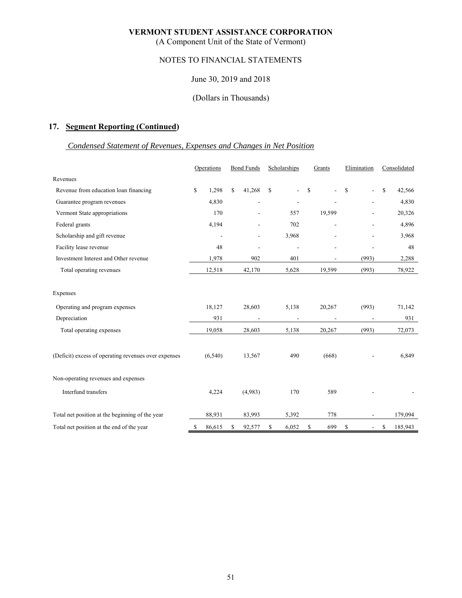(A Component Unit of the State of Vermont)

# NOTES TO FINANCIAL STATEMENTS

### June 30, 2019 and 2018

#### (Dollars in Thousands)

# **17. Segment Reporting (Continued)**

# *Condensed Statement of Revenues, Expenses and Changes in Net Position*

|                                                      | Operations |                          | <b>Bond Funds</b> |                          |               | Scholarships             |    | Grants                   |    | Elimination                  |    | Consolidated |  |
|------------------------------------------------------|------------|--------------------------|-------------------|--------------------------|---------------|--------------------------|----|--------------------------|----|------------------------------|----|--------------|--|
| Revenues                                             |            |                          |                   |                          |               |                          |    |                          |    |                              |    |              |  |
| Revenue from education loan financing                | \$         | 1,298                    | S                 | 41,268                   | <sup>\$</sup> |                          | S  |                          | \$ | ٠                            | \$ | 42,566       |  |
| Guarantee program revenues                           |            | 4,830                    |                   |                          |               |                          |    |                          |    | $\qquad \qquad \blacksquare$ |    | 4,830        |  |
| Vermont State appropriations                         |            | 170                      |                   |                          |               | 557                      |    | 19,599                   |    |                              |    | 20,326       |  |
| Federal grants                                       |            | 4,194                    |                   |                          |               | 702                      |    |                          |    |                              |    | 4,896        |  |
| Scholarship and gift revenue                         |            | $\overline{\phantom{a}}$ |                   |                          |               | 3,968                    |    |                          |    |                              |    | 3,968        |  |
| Facility lease revenue                               |            | 48                       |                   |                          |               |                          |    |                          |    |                              |    | 48           |  |
| Investment Interest and Other revenue                |            | 1,978                    |                   | 902                      |               | 401                      |    |                          |    | (993)                        |    | 2,288        |  |
| Total operating revenues                             |            | 12,518                   |                   | 42,170                   |               | 5,628                    |    | 19,599                   |    | (993)                        |    | 78,922       |  |
| Expenses                                             |            |                          |                   |                          |               |                          |    |                          |    |                              |    |              |  |
| Operating and program expenses                       |            | 18,127                   |                   | 28,603                   |               | 5,138                    |    | 20,267                   |    | (993)                        |    | 71,142       |  |
| Depreciation                                         |            | 931                      |                   | $\overline{\phantom{a}}$ |               | $\overline{\phantom{a}}$ |    | $\overline{\phantom{a}}$ |    | $\overline{\phantom{a}}$     |    | 931          |  |
| Total operating expenses                             |            | 19,058                   |                   | 28,603                   |               | 5,138                    |    | 20,267                   |    | (993)                        |    | 72,073       |  |
| (Deficit) excess of operating revenues over expenses |            | (6, 540)                 |                   | 13,567                   |               | 490                      |    | (668)                    |    |                              |    | 6,849        |  |
| Non-operating revenues and expenses                  |            |                          |                   |                          |               |                          |    |                          |    |                              |    |              |  |
| Interfund transfers                                  |            | 4,224                    |                   | (4,983)                  |               | 170                      |    | 589                      |    |                              |    |              |  |
| Total net position at the beginning of the year      |            | 88,931                   |                   | 83,993                   |               | 5,392                    |    | 778                      |    |                              |    | 179,094      |  |
| Total net position at the end of the year            | \$         | 86,615                   | \$                | 92,577                   | \$            | 6,052                    | \$ | 699                      | \$ | $\overline{\phantom{a}}$     | \$ | 185,943      |  |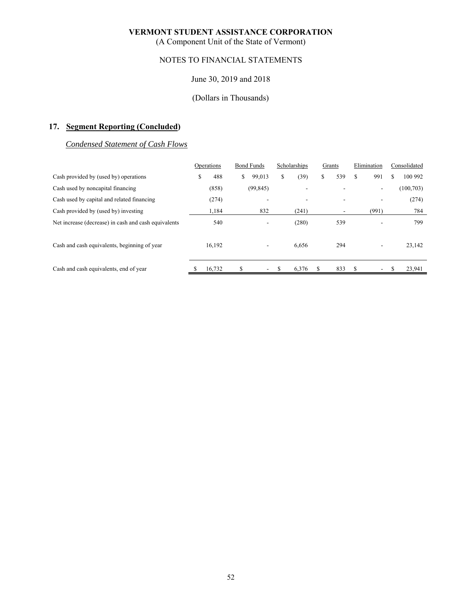(A Component Unit of the State of Vermont)

# NOTES TO FINANCIAL STATEMENTS

#### June 30, 2019 and 2018

# (Dollars in Thousands)

# **17. Segment Reporting (Concluded)**

# *Condensed Statement of Cash Flows*

|                                                      | Operations |        | <b>Bond Funds</b> |           | Scholarships |       | Grants |     | Elimination |       | Consolidated |            |
|------------------------------------------------------|------------|--------|-------------------|-----------|--------------|-------|--------|-----|-------------|-------|--------------|------------|
| Cash provided by (used by) operations                | \$         | 488    | \$                | 99,013    | \$           | (39)  | \$     | 539 | S           | 991   | \$           | 100 992    |
| Cash used by noncapital financing                    |            | (858)  |                   | (99, 845) |              |       |        | ۰   |             | ۰.    |              | (100, 703) |
| Cash used by capital and related financing           |            | (274)  |                   |           |              | ۰     |        | ۰   |             |       |              | (274)      |
| Cash provided by (used by) investing                 |            | 1,184  |                   | 832       |              | (241) |        | ۰.  |             | (991) |              | 784        |
| Net increase (decrease) in cash and cash equivalents |            | 540    |                   |           |              | (280) |        | 539 |             |       |              | 799        |
| Cash and cash equivalents, beginning of year         |            | 16,192 |                   |           |              | 6,656 |        | 294 |             | ٠     |              | 23,142     |
| Cash and cash equivalents, end of year               |            | 16,732 | \$.               |           |              | 6,376 |        | 833 |             |       |              | 23,941     |